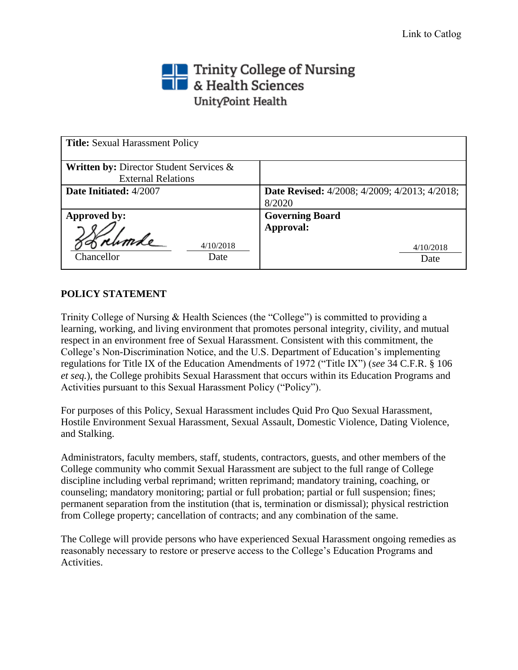# The Trinity College of Nursing<br>The & Health Sciences UnityPoint Health

| <b>Title:</b> Sexual Harassment Policy                                                        |                                                                |
|-----------------------------------------------------------------------------------------------|----------------------------------------------------------------|
| <b>Written by: Director Student Services <math>\&amp;</math></b><br><b>External Relations</b> |                                                                |
| Date Initiated: 4/2007                                                                        | <b>Date Revised:</b> 4/2008; 4/2009; 4/2013; 4/2018;<br>8/2020 |
| Approved by:                                                                                  | <b>Governing Board</b>                                         |
| 4/10/2018<br>Chancellor<br>Date                                                               | Approval:<br>4/10/2018<br>Date                                 |

## **POLICY STATEMENT**

Trinity College of Nursing & Health Sciences (the "College") is committed to providing a learning, working, and living environment that promotes personal integrity, civility, and mutual respect in an environment free of Sexual Harassment. Consistent with this commitment, the College's Non-Discrimination Notice, and the U.S. Department of Education's implementing regulations for Title IX of the Education Amendments of 1972 ("Title IX") (*see* 34 C.F.R. § 106 *et seq.*), the College prohibits Sexual Harassment that occurs within its Education Programs and Activities pursuant to this Sexual Harassment Policy ("Policy").

For purposes of this Policy, Sexual Harassment includes Quid Pro Quo Sexual Harassment, Hostile Environment Sexual Harassment, Sexual Assault, Domestic Violence, Dating Violence, and Stalking.

Administrators, faculty members, staff, students, contractors, guests, and other members of the College community who commit Sexual Harassment are subject to the full range of College discipline including verbal reprimand; written reprimand; mandatory training, coaching, or counseling; mandatory monitoring; partial or full probation; partial or full suspension; fines; permanent separation from the institution (that is, termination or dismissal); physical restriction from College property; cancellation of contracts; and any combination of the same.

The College will provide persons who have experienced Sexual Harassment ongoing remedies as reasonably necessary to restore or preserve access to the College's Education Programs and Activities.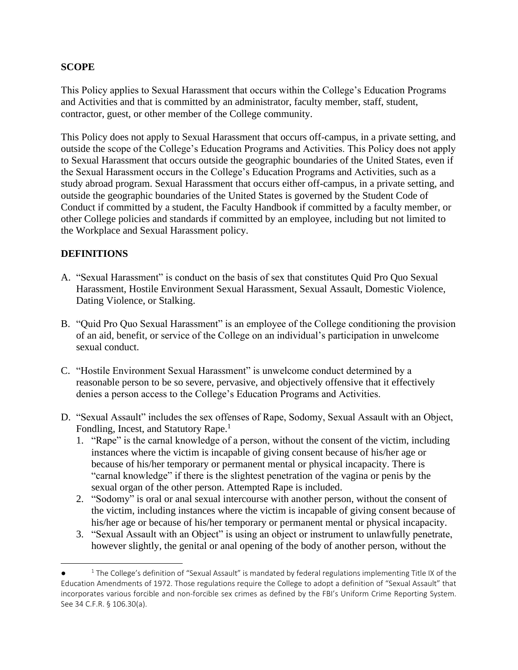#### **SCOPE**

This Policy applies to Sexual Harassment that occurs within the College's Education Programs and Activities and that is committed by an administrator, faculty member, staff, student, contractor, guest, or other member of the College community.

This Policy does not apply to Sexual Harassment that occurs off-campus, in a private setting, and outside the scope of the College's Education Programs and Activities. This Policy does not apply to Sexual Harassment that occurs outside the geographic boundaries of the United States, even if the Sexual Harassment occurs in the College's Education Programs and Activities, such as a study abroad program. Sexual Harassment that occurs either off-campus, in a private setting, and outside the geographic boundaries of the United States is governed by the Student Code of Conduct if committed by a student, the Faculty Handbook if committed by a faculty member, or other College policies and standards if committed by an employee, including but not limited to the Workplace and Sexual Harassment policy.

## **DEFINITIONS**

- A. "Sexual Harassment" is conduct on the basis of sex that constitutes Quid Pro Quo Sexual Harassment, Hostile Environment Sexual Harassment, Sexual Assault, Domestic Violence, Dating Violence, or Stalking.
- B. "Quid Pro Quo Sexual Harassment" is an employee of the College conditioning the provision of an aid, benefit, or service of the College on an individual's participation in unwelcome sexual conduct.
- C. "Hostile Environment Sexual Harassment" is unwelcome conduct determined by a reasonable person to be so severe, pervasive, and objectively offensive that it effectively denies a person access to the College's Education Programs and Activities.
- D. "Sexual Assault" includes the sex offenses of Rape, Sodomy, Sexual Assault with an Object, Fondling, Incest, and Statutory Rape.<sup>1</sup>
	- 1. "Rape" is the carnal knowledge of a person, without the consent of the victim, including instances where the victim is incapable of giving consent because of his/her age or because of his/her temporary or permanent mental or physical incapacity. There is "carnal knowledge" if there is the slightest penetration of the vagina or penis by the sexual organ of the other person. Attempted Rape is included.
	- 2. "Sodomy" is oral or anal sexual intercourse with another person, without the consent of the victim, including instances where the victim is incapable of giving consent because of his/her age or because of his/her temporary or permanent mental or physical incapacity.
	- 3. "Sexual Assault with an Object" is using an object or instrument to unlawfully penetrate, however slightly, the genital or anal opening of the body of another person, without the

<sup>●</sup>  $1$  The College's definition of "Sexual Assault" is mandated by federal regulations implementing Title IX of the Education Amendments of 1972. Those regulations require the College to adopt a definition of "Sexual Assault" that incorporates various forcible and non-forcible sex crimes as defined by the FBI's Uniform Crime Reporting System. See 34 C.F.R. § 106.30(a).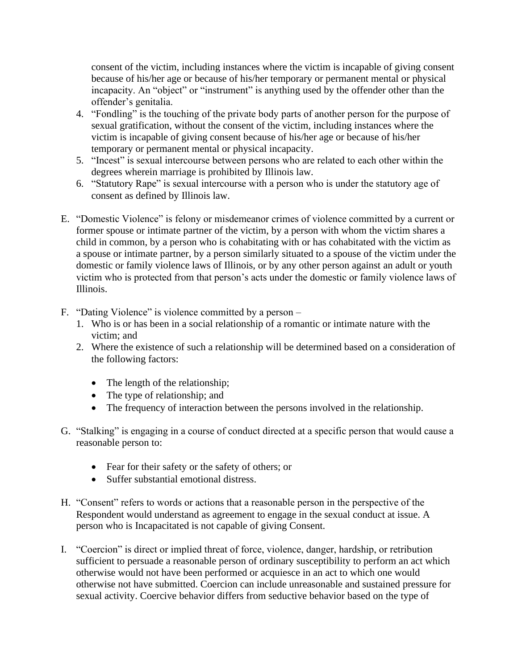consent of the victim, including instances where the victim is incapable of giving consent because of his/her age or because of his/her temporary or permanent mental or physical incapacity. An "object" or "instrument" is anything used by the offender other than the offender's genitalia.

- 4. "Fondling" is the touching of the private body parts of another person for the purpose of sexual gratification, without the consent of the victim, including instances where the victim is incapable of giving consent because of his/her age or because of his/her temporary or permanent mental or physical incapacity.
- 5. "Incest" is sexual intercourse between persons who are related to each other within the degrees wherein marriage is prohibited by Illinois law.
- 6. "Statutory Rape" is sexual intercourse with a person who is under the statutory age of consent as defined by Illinois law.
- E. "Domestic Violence" is felony or misdemeanor crimes of violence committed by a current or former spouse or intimate partner of the victim, by a person with whom the victim shares a child in common, by a person who is cohabitating with or has cohabitated with the victim as a spouse or intimate partner, by a person similarly situated to a spouse of the victim under the domestic or family violence laws of Illinois, or by any other person against an adult or youth victim who is protected from that person's acts under the domestic or family violence laws of Illinois.
- F. "Dating Violence" is violence committed by a person
	- 1. Who is or has been in a social relationship of a romantic or intimate nature with the victim; and
	- 2. Where the existence of such a relationship will be determined based on a consideration of the following factors:
		- The length of the relationship;
		- The type of relationship; and
		- The frequency of interaction between the persons involved in the relationship.
- G. "Stalking" is engaging in a course of conduct directed at a specific person that would cause a reasonable person to:
	- Fear for their safety or the safety of others; or
	- Suffer substantial emotional distress.
- H. "Consent" refers to words or actions that a reasonable person in the perspective of the Respondent would understand as agreement to engage in the sexual conduct at issue. A person who is Incapacitated is not capable of giving Consent.
- I. "Coercion" is direct or implied threat of force, violence, danger, hardship, or retribution sufficient to persuade a reasonable person of ordinary susceptibility to perform an act which otherwise would not have been performed or acquiesce in an act to which one would otherwise not have submitted. Coercion can include unreasonable and sustained pressure for sexual activity. Coercive behavior differs from seductive behavior based on the type of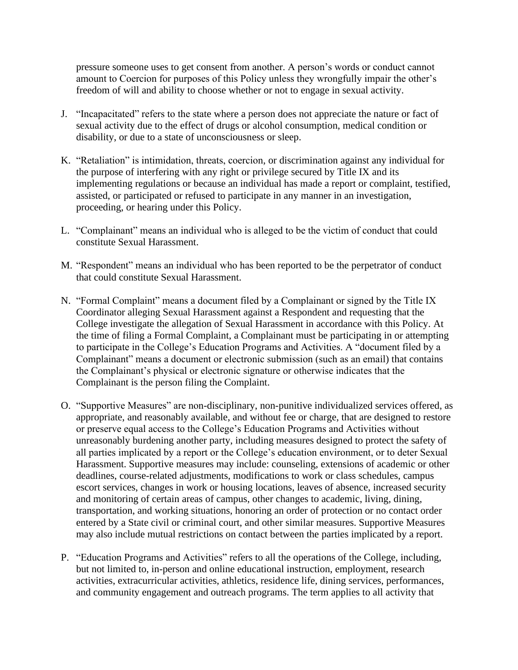pressure someone uses to get consent from another. A person's words or conduct cannot amount to Coercion for purposes of this Policy unless they wrongfully impair the other's freedom of will and ability to choose whether or not to engage in sexual activity.

- J. "Incapacitated" refers to the state where a person does not appreciate the nature or fact of sexual activity due to the effect of drugs or alcohol consumption, medical condition or disability, or due to a state of unconsciousness or sleep.
- K. "Retaliation" is intimidation, threats, coercion, or discrimination against any individual for the purpose of interfering with any right or privilege secured by Title IX and its implementing regulations or because an individual has made a report or complaint, testified, assisted, or participated or refused to participate in any manner in an investigation, proceeding, or hearing under this Policy.
- L. "Complainant" means an individual who is alleged to be the victim of conduct that could constitute Sexual Harassment.
- M. "Respondent" means an individual who has been reported to be the perpetrator of conduct that could constitute Sexual Harassment.
- N. "Formal Complaint" means a document filed by a Complainant or signed by the Title IX Coordinator alleging Sexual Harassment against a Respondent and requesting that the College investigate the allegation of Sexual Harassment in accordance with this Policy. At the time of filing a Formal Complaint, a Complainant must be participating in or attempting to participate in the College's Education Programs and Activities. A "document filed by a Complainant" means a document or electronic submission (such as an email) that contains the Complainant's physical or electronic signature or otherwise indicates that the Complainant is the person filing the Complaint.
- O. "Supportive Measures" are non-disciplinary, non-punitive individualized services offered, as appropriate, and reasonably available, and without fee or charge, that are designed to restore or preserve equal access to the College's Education Programs and Activities without unreasonably burdening another party, including measures designed to protect the safety of all parties implicated by a report or the College's education environment, or to deter Sexual Harassment. Supportive measures may include: counseling, extensions of academic or other deadlines, course-related adjustments, modifications to work or class schedules, campus escort services, changes in work or housing locations, leaves of absence, increased security and monitoring of certain areas of campus, other changes to academic, living, dining, transportation, and working situations, honoring an order of protection or no contact order entered by a State civil or criminal court, and other similar measures. Supportive Measures may also include mutual restrictions on contact between the parties implicated by a report.
- P. "Education Programs and Activities" refers to all the operations of the College, including, but not limited to, in-person and online educational instruction, employment, research activities, extracurricular activities, athletics, residence life, dining services, performances, and community engagement and outreach programs. The term applies to all activity that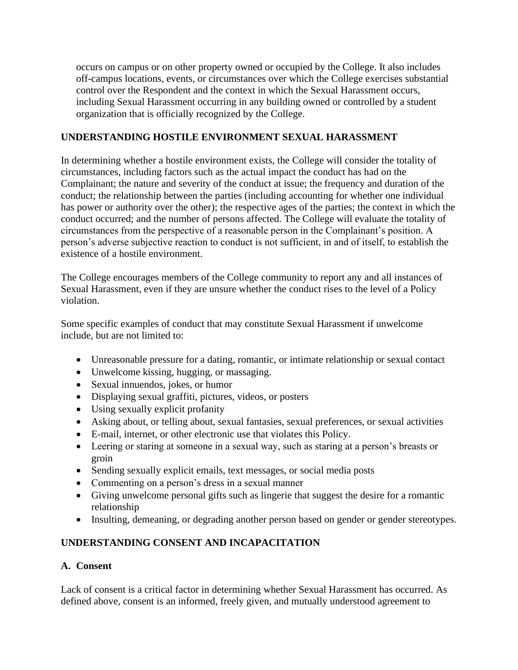occurs on campus or on other property owned or occupied by the College. It also includes off-campus locations, events, or circumstances over which the College exercises substantial control over the Respondent and the context in which the Sexual Harassment occurs, including Sexual Harassment occurring in any building owned or controlled by a student organization that is officially recognized by the College.

#### **UNDERSTANDING HOSTILE ENVIRONMENT SEXUAL HARASSMENT**

In determining whether a hostile environment exists, the College will consider the totality of circumstances, including factors such as the actual impact the conduct has had on the Complainant; the nature and severity of the conduct at issue; the frequency and duration of the conduct; the relationship between the parties (including accounting for whether one individual has power or authority over the other); the respective ages of the parties; the context in which the conduct occurred; and the number of persons affected. The College will evaluate the totality of circumstances from the perspective of a reasonable person in the Complainant's position. A person's adverse subjective reaction to conduct is not sufficient, in and of itself, to establish the existence of a hostile environment.

The College encourages members of the College community to report any and all instances of Sexual Harassment, even if they are unsure whether the conduct rises to the level of a Policy violation.

Some specific examples of conduct that may constitute Sexual Harassment if unwelcome include, but are not limited to:

- Unreasonable pressure for a dating, romantic, or intimate relationship or sexual contact
- Unwelcome kissing, hugging, or massaging.
- Sexual innuendos, jokes, or humor
- Displaying sexual graffiti, pictures, videos, or posters
- Using sexually explicit profanity
- Asking about, or telling about, sexual fantasies, sexual preferences, or sexual activities
- E-mail, internet, or other electronic use that violates this Policy.
- Leering or staring at someone in a sexual way, such as staring at a person's breasts or groin
- Sending sexually explicit emails, text messages, or social media posts
- Commenting on a person's dress in a sexual manner
- Giving unwelcome personal gifts such as lingerie that suggest the desire for a romantic relationship
- Insulting, demeaning, or degrading another person based on gender or gender stereotypes.

## **UNDERSTANDING CONSENT AND INCAPACITATION**

#### **A. Consent**

Lack of consent is a critical factor in determining whether Sexual Harassment has occurred. As defined above, consent is an informed, freely given, and mutually understood agreement to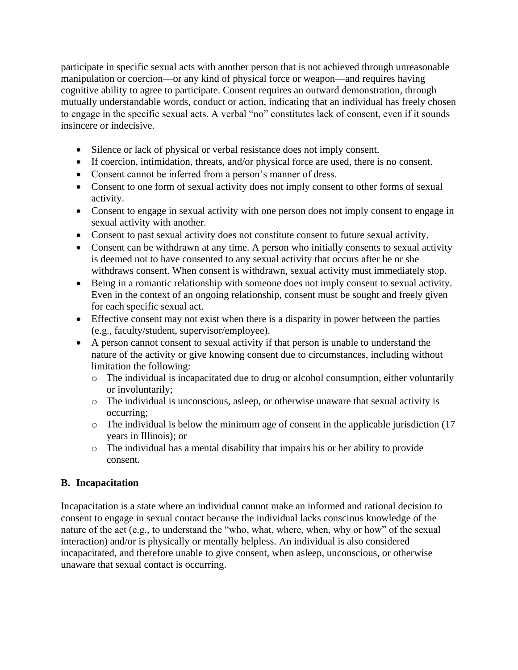participate in specific sexual acts with another person that is not achieved through unreasonable manipulation or coercion—or any kind of physical force or weapon—and requires having cognitive ability to agree to participate. Consent requires an outward demonstration, through mutually understandable words, conduct or action, indicating that an individual has freely chosen to engage in the specific sexual acts. A verbal "no" constitutes lack of consent, even if it sounds insincere or indecisive.

- Silence or lack of physical or verbal resistance does not imply consent.
- If coercion, intimidation, threats, and/or physical force are used, there is no consent.
- Consent cannot be inferred from a person's manner of dress.
- Consent to one form of sexual activity does not imply consent to other forms of sexual activity.
- Consent to engage in sexual activity with one person does not imply consent to engage in sexual activity with another.
- Consent to past sexual activity does not constitute consent to future sexual activity.
- Consent can be withdrawn at any time. A person who initially consents to sexual activity is deemed not to have consented to any sexual activity that occurs after he or she withdraws consent. When consent is withdrawn, sexual activity must immediately stop.
- Being in a romantic relationship with someone does not imply consent to sexual activity. Even in the context of an ongoing relationship, consent must be sought and freely given for each specific sexual act.
- Effective consent may not exist when there is a disparity in power between the parties (e.g., faculty/student, supervisor/employee).
- A person cannot consent to sexual activity if that person is unable to understand the nature of the activity or give knowing consent due to circumstances, including without limitation the following:
	- $\circ$  The individual is incapacitated due to drug or alcohol consumption, either voluntarily or involuntarily;
	- o The individual is unconscious, asleep, or otherwise unaware that sexual activity is occurring;
	- o The individual is below the minimum age of consent in the applicable jurisdiction (17 years in Illinois); or
	- o The individual has a mental disability that impairs his or her ability to provide consent.

## **B. Incapacitation**

Incapacitation is a state where an individual cannot make an informed and rational decision to consent to engage in sexual contact because the individual lacks conscious knowledge of the nature of the act (e.g., to understand the "who, what, where, when, why or how" of the sexual interaction) and/or is physically or mentally helpless. An individual is also considered incapacitated, and therefore unable to give consent, when asleep, unconscious, or otherwise unaware that sexual contact is occurring.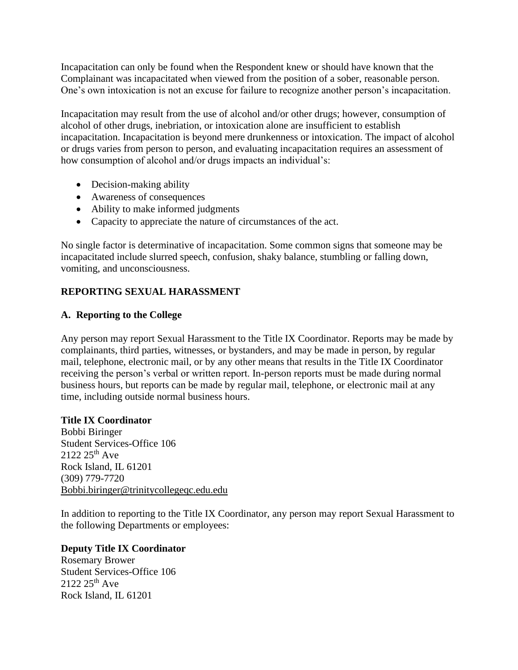Incapacitation can only be found when the Respondent knew or should have known that the Complainant was incapacitated when viewed from the position of a sober, reasonable person. One's own intoxication is not an excuse for failure to recognize another person's incapacitation.

Incapacitation may result from the use of alcohol and/or other drugs; however, consumption of alcohol of other drugs, inebriation, or intoxication alone are insufficient to establish incapacitation. Incapacitation is beyond mere drunkenness or intoxication. The impact of alcohol or drugs varies from person to person, and evaluating incapacitation requires an assessment of how consumption of alcohol and/or drugs impacts an individual's:

- Decision-making ability
- Awareness of consequences
- Ability to make informed judgments
- Capacity to appreciate the nature of circumstances of the act.

No single factor is determinative of incapacitation. Some common signs that someone may be incapacitated include slurred speech, confusion, shaky balance, stumbling or falling down, vomiting, and unconsciousness.

## **REPORTING SEXUAL HARASSMENT**

#### **A. Reporting to the College**

Any person may report Sexual Harassment to the Title IX Coordinator. Reports may be made by complainants, third parties, witnesses, or bystanders, and may be made in person, by regular mail, telephone, electronic mail, or by any other means that results in the Title IX Coordinator receiving the person's verbal or written report. In-person reports must be made during normal business hours, but reports can be made by regular mail, telephone, or electronic mail at any time, including outside normal business hours.

#### **Title IX Coordinator**

Bobbi Biringer Student Services-Office 106  $2122\,25^{th}$  Ave Rock Island, IL 61201 (309) 779-7720 [Bobbi.biringer@trinitycollegeqc.edu.edu](mailto:Bobbi.biringer@trinitycollegeqc.edu.edu)

In addition to reporting to the Title IX Coordinator, any person may report Sexual Harassment to the following Departments or employees:

#### **Deputy Title IX Coordinator**

Rosemary Brower Student Services-Office 106  $2122\,25^{th}$  Ave Rock Island, IL 61201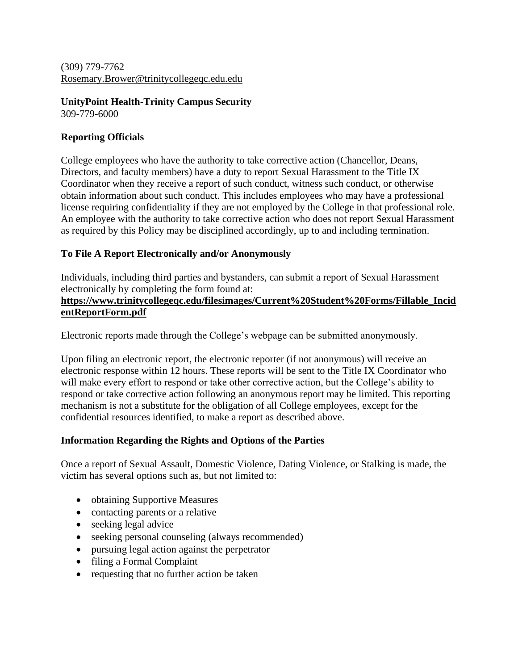(309) 779-7762 [Rosemary.Brower@trinitycollegeqc.edu.edu](mailto:Rosemary.Brower@trinitycollegeqc.edu.edu)

## **UnityPoint Health-Trinity Campus Security**

309-779-6000

#### **Reporting Officials**

College employees who have the authority to take corrective action (Chancellor, Deans, Directors, and faculty members) have a duty to report Sexual Harassment to the Title IX Coordinator when they receive a report of such conduct, witness such conduct, or otherwise obtain information about such conduct. This includes employees who may have a professional license requiring confidentiality if they are not employed by the College in that professional role. An employee with the authority to take corrective action who does not report Sexual Harassment as required by this Policy may be disciplined accordingly, up to and including termination.

## **To File A Report Electronically and/or Anonymously**

Individuals, including third parties and bystanders, can submit a report of Sexual Harassment electronically by completing the form found at:

#### **[https://www.trinitycollegeqc.edu/filesimages/Current%20Student%20Forms/Fillable\\_Incid](https://www.trinitycollegeqc.edu/filesimages/Current%20Student%20Forms/Fillable_IncidentReportForm.pdf) [entReportForm.pdf](https://www.trinitycollegeqc.edu/filesimages/Current%20Student%20Forms/Fillable_IncidentReportForm.pdf)**

Electronic reports made through the College's webpage can be submitted anonymously.

Upon filing an electronic report, the electronic reporter (if not anonymous) will receive an electronic response within 12 hours. These reports will be sent to the Title IX Coordinator who will make every effort to respond or take other corrective action, but the College's ability to respond or take corrective action following an anonymous report may be limited. This reporting mechanism is not a substitute for the obligation of all College employees, except for the confidential resources identified, to make a report as described above.

#### **Information Regarding the Rights and Options of the Parties**

Once a report of Sexual Assault, Domestic Violence, Dating Violence, or Stalking is made, the victim has several options such as, but not limited to:

- obtaining Supportive Measures
- contacting parents or a relative
- seeking legal advice
- seeking personal counseling (always recommended)
- pursuing legal action against the perpetrator
- filing a Formal Complaint
- requesting that no further action be taken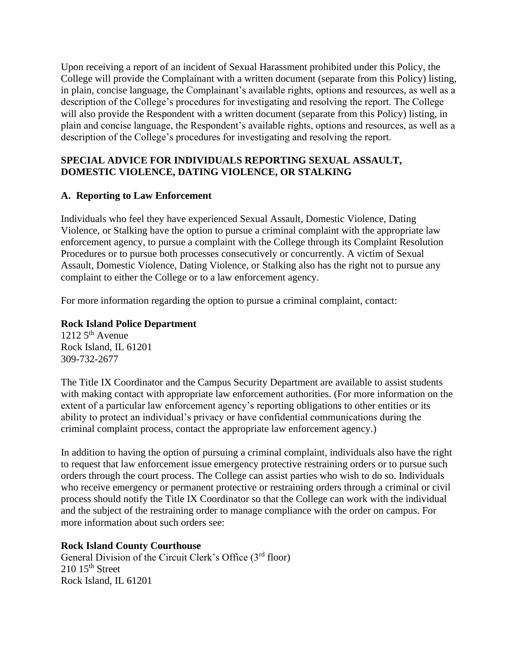Upon receiving a report of an incident of Sexual Harassment prohibited under this Policy, the College will provide the Complainant with a written document (separate from this Policy) listing, in plain, concise language, the Complainant's available rights, options and resources, as well as a description of the College's procedures for investigating and resolving the report. The College will also provide the Respondent with a written document (separate from this Policy) listing, in plain and concise language, the Respondent's available rights, options and resources, as well as a description of the College's procedures for investigating and resolving the report.

#### **SPECIAL ADVICE FOR INDIVIDUALS REPORTING SEXUAL ASSAULT, DOMESTIC VIOLENCE, DATING VIOLENCE, OR STALKING**

## **A. Reporting to Law Enforcement**

Individuals who feel they have experienced Sexual Assault, Domestic Violence, Dating Violence, or Stalking have the option to pursue a criminal complaint with the appropriate law enforcement agency, to pursue a complaint with the College through its Complaint Resolution Procedures or to pursue both processes consecutively or concurrently. A victim of Sexual Assault, Domestic Violence, Dating Violence, or Stalking also has the right not to pursue any complaint to either the College or to a law enforcement agency.

For more information regarding the option to pursue a criminal complaint, contact:

#### **Rock Island Police Department**

 $1212\,5^{th}$  Avenue Rock Island, IL 61201 309-732-2677

The Title IX Coordinator and the Campus Security Department are available to assist students with making contact with appropriate law enforcement authorities. (For more information on the extent of a particular law enforcement agency's reporting obligations to other entities or its ability to protect an individual's privacy or have confidential communications during the criminal complaint process, contact the appropriate law enforcement agency.)

In addition to having the option of pursuing a criminal complaint, individuals also have the right to request that law enforcement issue emergency protective restraining orders or to pursue such orders through the court process. The College can assist parties who wish to do so. Individuals who receive emergency or permanent protective or restraining orders through a criminal or civil process should notify the Title IX Coordinator so that the College can work with the individual and the subject of the restraining order to manage compliance with the order on campus. For more information about such orders see:

#### **Rock Island County Courthouse**

General Division of the Circuit Clerk's Office (3<sup>rd</sup> floor)  $210$   $15<sup>th</sup>$  Street Rock Island, IL 61201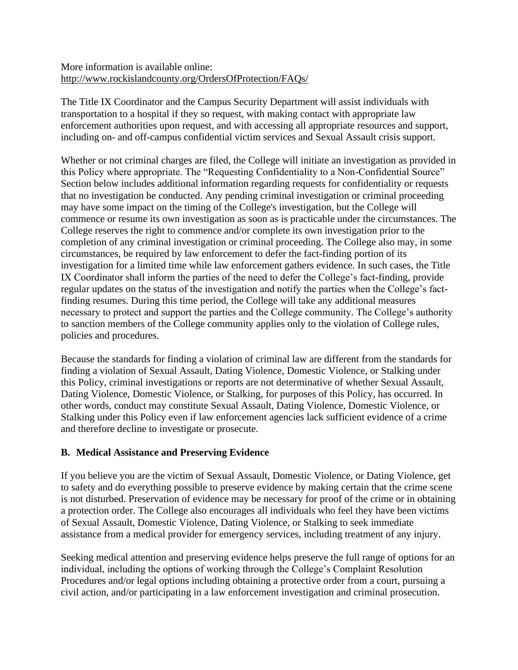#### More information is available online: <http://www.rockislandcounty.org/OrdersOfProtection/FAQs/>

The Title IX Coordinator and the Campus Security Department will assist individuals with transportation to a hospital if they so request, with making contact with appropriate law enforcement authorities upon request, and with accessing all appropriate resources and support, including on- and off-campus confidential victim services and Sexual Assault crisis support.

Whether or not criminal charges are filed, the College will initiate an investigation as provided in this Policy where appropriate. The "Requesting Confidentiality to a Non-Confidential Source" Section below includes additional information regarding requests for confidentiality or requests that no investigation be conducted. Any pending criminal investigation or criminal proceeding may have some impact on the timing of the College's investigation, but the College will commence or resume its own investigation as soon as is practicable under the circumstances. The College reserves the right to commence and/or complete its own investigation prior to the completion of any criminal investigation or criminal proceeding. The College also may, in some circumstances, be required by law enforcement to defer the fact-finding portion of its investigation for a limited time while law enforcement gathers evidence. In such cases, the Title IX Coordinator shall inform the parties of the need to defer the College's fact-finding, provide regular updates on the status of the investigation and notify the parties when the College's factfinding resumes. During this time period, the College will take any additional measures necessary to protect and support the parties and the College community. The College's authority to sanction members of the College community applies only to the violation of College rules, policies and procedures.

Because the standards for finding a violation of criminal law are different from the standards for finding a violation of Sexual Assault, Dating Violence, Domestic Violence, or Stalking under this Policy, criminal investigations or reports are not determinative of whether Sexual Assault, Dating Violence, Domestic Violence, or Stalking, for purposes of this Policy, has occurred. In other words, conduct may constitute Sexual Assault, Dating Violence, Domestic Violence, or Stalking under this Policy even if law enforcement agencies lack sufficient evidence of a crime and therefore decline to investigate or prosecute.

#### **B. Medical Assistance and Preserving Evidence**

If you believe you are the victim of Sexual Assault, Domestic Violence, or Dating Violence, get to safety and do everything possible to preserve evidence by making certain that the crime scene is not disturbed. Preservation of evidence may be necessary for proof of the crime or in obtaining a protection order. The College also encourages all individuals who feel they have been victims of Sexual Assault, Domestic Violence, Dating Violence, or Stalking to seek immediate assistance from a medical provider for emergency services, including treatment of any injury.

Seeking medical attention and preserving evidence helps preserve the full range of options for an individual, including the options of working through the College's Complaint Resolution Procedures and/or legal options including obtaining a protective order from a court, pursuing a civil action, and/or participating in a law enforcement investigation and criminal prosecution.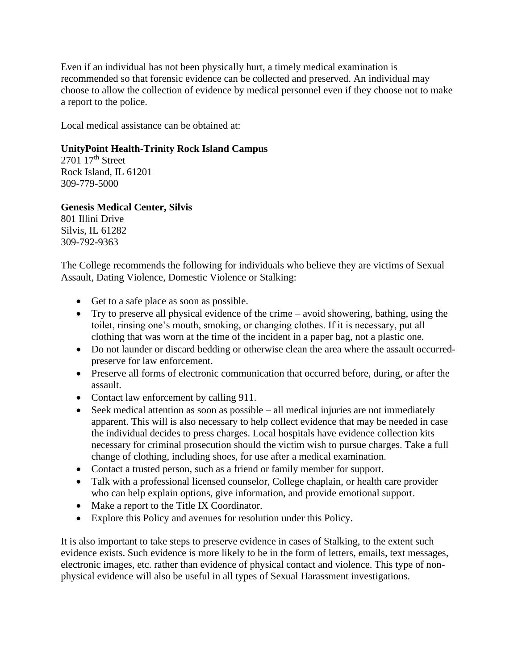Even if an individual has not been physically hurt, a timely medical examination is recommended so that forensic evidence can be collected and preserved. An individual may choose to allow the collection of evidence by medical personnel even if they choose not to make a report to the police.

Local medical assistance can be obtained at:

#### **UnityPoint Health-Trinity Rock Island Campus**

 $2701$   $17<sup>th</sup>$  Street Rock Island, IL 61201 309-779-5000

#### **Genesis Medical Center, Silvis**

801 Illini Drive Silvis, IL 61282 309-792-9363

The College recommends the following for individuals who believe they are victims of Sexual Assault, Dating Violence, Domestic Violence or Stalking:

- Get to a safe place as soon as possible.
- Try to preserve all physical evidence of the crime avoid showering, bathing, using the toilet, rinsing one's mouth, smoking, or changing clothes. If it is necessary, put all clothing that was worn at the time of the incident in a paper bag, not a plastic one.
- Do not launder or discard bedding or otherwise clean the area where the assault occurredpreserve for law enforcement.
- Preserve all forms of electronic communication that occurred before, during, or after the assault.
- Contact law enforcement by calling 911.
- Seek medical attention as soon as possible all medical injuries are not immediately apparent. This will is also necessary to help collect evidence that may be needed in case the individual decides to press charges. Local hospitals have evidence collection kits necessary for criminal prosecution should the victim wish to pursue charges. Take a full change of clothing, including shoes, for use after a medical examination.
- Contact a trusted person, such as a friend or family member for support.
- Talk with a professional licensed counselor, College chaplain, or health care provider who can help explain options, give information, and provide emotional support.
- Make a report to the Title IX Coordinator.
- Explore this Policy and avenues for resolution under this Policy.

It is also important to take steps to preserve evidence in cases of Stalking, to the extent such evidence exists. Such evidence is more likely to be in the form of letters, emails, text messages, electronic images, etc. rather than evidence of physical contact and violence. This type of nonphysical evidence will also be useful in all types of Sexual Harassment investigations.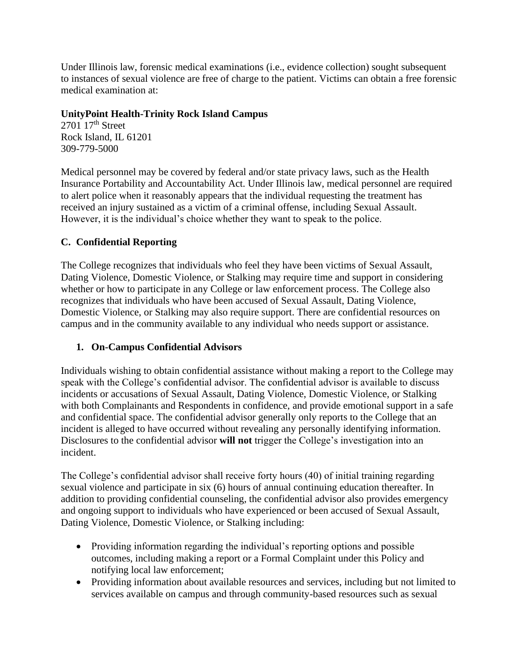Under Illinois law, forensic medical examinations (i.e., evidence collection) sought subsequent to instances of sexual violence are free of charge to the patient. Victims can obtain a free forensic medical examination at:

#### **UnityPoint Health-Trinity Rock Island Campus**

 $2701$   $17<sup>th</sup>$  Street Rock Island, IL 61201 309-779-5000

Medical personnel may be covered by federal and/or state privacy laws, such as the Health Insurance Portability and Accountability Act. Under Illinois law, medical personnel are required to alert police when it reasonably appears that the individual requesting the treatment has received an injury sustained as a victim of a criminal offense, including Sexual Assault. However, it is the individual's choice whether they want to speak to the police.

## **C. Confidential Reporting**

The College recognizes that individuals who feel they have been victims of Sexual Assault, Dating Violence, Domestic Violence, or Stalking may require time and support in considering whether or how to participate in any College or law enforcement process. The College also recognizes that individuals who have been accused of Sexual Assault, Dating Violence, Domestic Violence, or Stalking may also require support. There are confidential resources on campus and in the community available to any individual who needs support or assistance.

## **1. On-Campus Confidential Advisors**

Individuals wishing to obtain confidential assistance without making a report to the College may speak with the College's confidential advisor. The confidential advisor is available to discuss incidents or accusations of Sexual Assault, Dating Violence, Domestic Violence, or Stalking with both Complainants and Respondents in confidence, and provide emotional support in a safe and confidential space. The confidential advisor generally only reports to the College that an incident is alleged to have occurred without revealing any personally identifying information. Disclosures to the confidential advisor **will not** trigger the College's investigation into an incident.

The College's confidential advisor shall receive forty hours (40) of initial training regarding sexual violence and participate in six (6) hours of annual continuing education thereafter. In addition to providing confidential counseling, the confidential advisor also provides emergency and ongoing support to individuals who have experienced or been accused of Sexual Assault, Dating Violence, Domestic Violence, or Stalking including:

- Providing information regarding the individual's reporting options and possible outcomes, including making a report or a Formal Complaint under this Policy and notifying local law enforcement;
- Providing information about available resources and services, including but not limited to services available on campus and through community-based resources such as sexual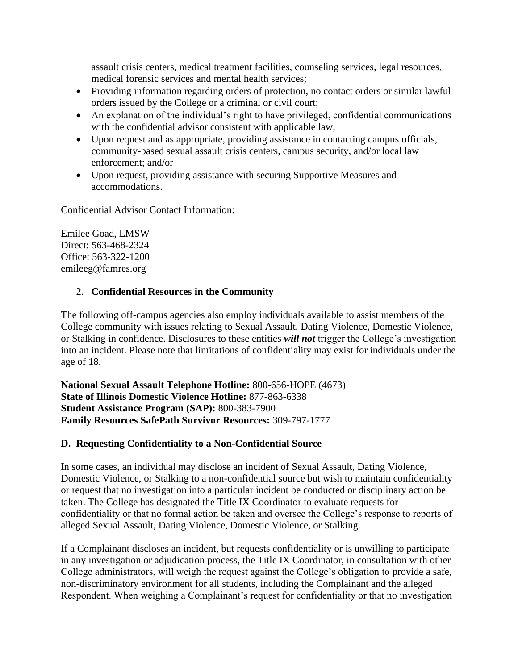assault crisis centers, medical treatment facilities, counseling services, legal resources, medical forensic services and mental health services;

- Providing information regarding orders of protection, no contact orders or similar lawful orders issued by the College or a criminal or civil court;
- An explanation of the individual's right to have privileged, confidential communications with the confidential advisor consistent with applicable law;
- Upon request and as appropriate, providing assistance in contacting campus officials, community-based sexual assault crisis centers, campus security, and/or local law enforcement; and/or
- Upon request, providing assistance with securing Supportive Measures and accommodations.

Confidential Advisor Contact Information:

Emilee Goad, LMSW Direct: 563-468-2324 Office: 563-322-1200 emileeg@famres.org

## 2. **Confidential Resources in the Community**

The following off-campus agencies also employ individuals available to assist members of the College community with issues relating to Sexual Assault, Dating Violence, Domestic Violence, or Stalking in confidence. Disclosures to these entities *will not* trigger the College's investigation into an incident. Please note that limitations of confidentiality may exist for individuals under the age of 18.

**National Sexual Assault Telephone Hotline:** 800-656-HOPE (4673) **State of Illinois Domestic Violence Hotline:** 877-863-6338 **Student Assistance Program (SAP):** 800-383-7900 **Family Resources SafePath Survivor Resources:** 309-797-1777

## **D. Requesting Confidentiality to a Non-Confidential Source**

In some cases, an individual may disclose an incident of Sexual Assault, Dating Violence, Domestic Violence, or Stalking to a non-confidential source but wish to maintain confidentiality or request that no investigation into a particular incident be conducted or disciplinary action be taken. The College has designated the Title IX Coordinator to evaluate requests for confidentiality or that no formal action be taken and oversee the College's response to reports of alleged Sexual Assault, Dating Violence, Domestic Violence, or Stalking.

If a Complainant discloses an incident, but requests confidentiality or is unwilling to participate in any investigation or adjudication process, the Title IX Coordinator, in consultation with other College administrators, will weigh the request against the College's obligation to provide a safe, non-discriminatory environment for all students, including the Complainant and the alleged Respondent. When weighing a Complainant's request for confidentiality or that no investigation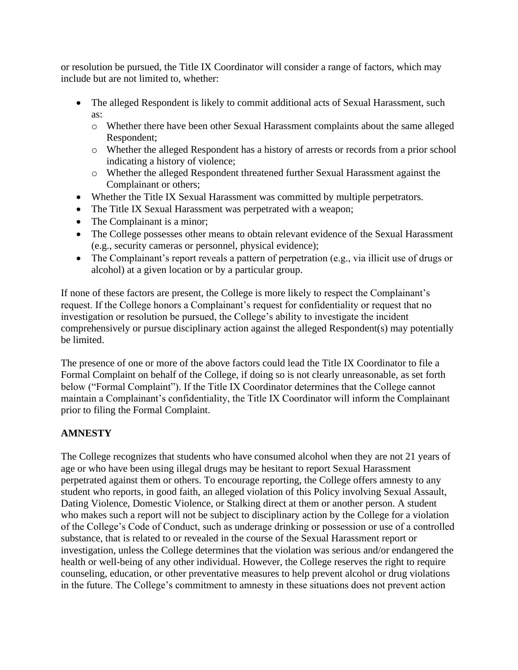or resolution be pursued, the Title IX Coordinator will consider a range of factors, which may include but are not limited to, whether:

- The alleged Respondent is likely to commit additional acts of Sexual Harassment, such as:
	- o Whether there have been other Sexual Harassment complaints about the same alleged Respondent;
	- o Whether the alleged Respondent has a history of arrests or records from a prior school indicating a history of violence;
	- o Whether the alleged Respondent threatened further Sexual Harassment against the Complainant or others;
- Whether the Title IX Sexual Harassment was committed by multiple perpetrators.
- The Title IX Sexual Harassment was perpetrated with a weapon;
- The Complainant is a minor;
- The College possesses other means to obtain relevant evidence of the Sexual Harassment (e.g., security cameras or personnel, physical evidence);
- The Complainant's report reveals a pattern of perpetration (e.g., via illicit use of drugs or alcohol) at a given location or by a particular group.

If none of these factors are present, the College is more likely to respect the Complainant's request. If the College honors a Complainant's request for confidentiality or request that no investigation or resolution be pursued, the College's ability to investigate the incident comprehensively or pursue disciplinary action against the alleged Respondent(s) may potentially be limited.

The presence of one or more of the above factors could lead the Title IX Coordinator to file a Formal Complaint on behalf of the College, if doing so is not clearly unreasonable, as set forth below ("Formal Complaint"). If the Title IX Coordinator determines that the College cannot maintain a Complainant's confidentiality, the Title IX Coordinator will inform the Complainant prior to filing the Formal Complaint.

## **AMNESTY**

The College recognizes that students who have consumed alcohol when they are not 21 years of age or who have been using illegal drugs may be hesitant to report Sexual Harassment perpetrated against them or others. To encourage reporting, the College offers amnesty to any student who reports, in good faith, an alleged violation of this Policy involving Sexual Assault, Dating Violence, Domestic Violence, or Stalking direct at them or another person. A student who makes such a report will not be subject to disciplinary action by the College for a violation of the College's Code of Conduct, such as underage drinking or possession or use of a controlled substance, that is related to or revealed in the course of the Sexual Harassment report or investigation, unless the College determines that the violation was serious and/or endangered the health or well-being of any other individual. However, the College reserves the right to require counseling, education, or other preventative measures to help prevent alcohol or drug violations in the future. The College's commitment to amnesty in these situations does not prevent action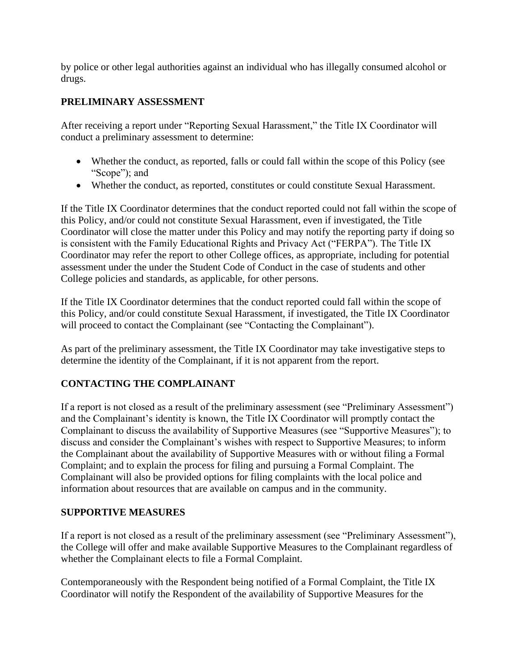by police or other legal authorities against an individual who has illegally consumed alcohol or drugs.

## **PRELIMINARY ASSESSMENT**

After receiving a report under "Reporting Sexual Harassment," the Title IX Coordinator will conduct a preliminary assessment to determine:

- Whether the conduct, as reported, falls or could fall within the scope of this Policy (see "Scope"); and
- Whether the conduct, as reported, constitutes or could constitute Sexual Harassment.

If the Title IX Coordinator determines that the conduct reported could not fall within the scope of this Policy, and/or could not constitute Sexual Harassment, even if investigated, the Title Coordinator will close the matter under this Policy and may notify the reporting party if doing so is consistent with the Family Educational Rights and Privacy Act ("FERPA"). The Title IX Coordinator may refer the report to other College offices, as appropriate, including for potential assessment under the under the Student Code of Conduct in the case of students and other College policies and standards, as applicable, for other persons.

If the Title IX Coordinator determines that the conduct reported could fall within the scope of this Policy, and/or could constitute Sexual Harassment, if investigated, the Title IX Coordinator will proceed to contact the Complainant (see "Contacting the Complainant").

As part of the preliminary assessment, the Title IX Coordinator may take investigative steps to determine the identity of the Complainant, if it is not apparent from the report.

## **CONTACTING THE COMPLAINANT**

If a report is not closed as a result of the preliminary assessment (see "Preliminary Assessment") and the Complainant's identity is known, the Title IX Coordinator will promptly contact the Complainant to discuss the availability of Supportive Measures (see "Supportive Measures"); to discuss and consider the Complainant's wishes with respect to Supportive Measures; to inform the Complainant about the availability of Supportive Measures with or without filing a Formal Complaint; and to explain the process for filing and pursuing a Formal Complaint. The Complainant will also be provided options for filing complaints with the local police and information about resources that are available on campus and in the community.

#### **SUPPORTIVE MEASURES**

If a report is not closed as a result of the preliminary assessment (see "Preliminary Assessment"), the College will offer and make available Supportive Measures to the Complainant regardless of whether the Complainant elects to file a Formal Complaint.

Contemporaneously with the Respondent being notified of a Formal Complaint, the Title IX Coordinator will notify the Respondent of the availability of Supportive Measures for the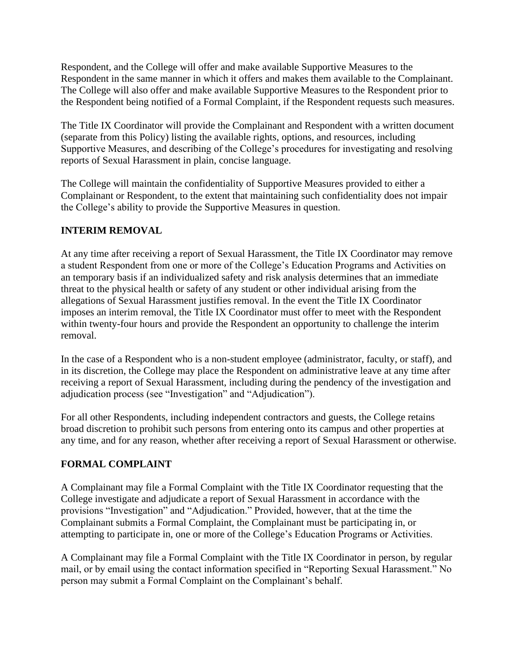Respondent, and the College will offer and make available Supportive Measures to the Respondent in the same manner in which it offers and makes them available to the Complainant. The College will also offer and make available Supportive Measures to the Respondent prior to the Respondent being notified of a Formal Complaint, if the Respondent requests such measures.

The Title IX Coordinator will provide the Complainant and Respondent with a written document (separate from this Policy) listing the available rights, options, and resources, including Supportive Measures, and describing of the College's procedures for investigating and resolving reports of Sexual Harassment in plain, concise language.

The College will maintain the confidentiality of Supportive Measures provided to either a Complainant or Respondent, to the extent that maintaining such confidentiality does not impair the College's ability to provide the Supportive Measures in question.

## **INTERIM REMOVAL**

At any time after receiving a report of Sexual Harassment, the Title IX Coordinator may remove a student Respondent from one or more of the College's Education Programs and Activities on an temporary basis if an individualized safety and risk analysis determines that an immediate threat to the physical health or safety of any student or other individual arising from the allegations of Sexual Harassment justifies removal. In the event the Title IX Coordinator imposes an interim removal, the Title IX Coordinator must offer to meet with the Respondent within twenty-four hours and provide the Respondent an opportunity to challenge the interim removal.

In the case of a Respondent who is a non-student employee (administrator, faculty, or staff), and in its discretion, the College may place the Respondent on administrative leave at any time after receiving a report of Sexual Harassment, including during the pendency of the investigation and adjudication process (see "Investigation" and "Adjudication").

For all other Respondents, including independent contractors and guests, the College retains broad discretion to prohibit such persons from entering onto its campus and other properties at any time, and for any reason, whether after receiving a report of Sexual Harassment or otherwise.

#### **FORMAL COMPLAINT**

A Complainant may file a Formal Complaint with the Title IX Coordinator requesting that the College investigate and adjudicate a report of Sexual Harassment in accordance with the provisions "Investigation" and "Adjudication." Provided, however, that at the time the Complainant submits a Formal Complaint, the Complainant must be participating in, or attempting to participate in, one or more of the College's Education Programs or Activities.

A Complainant may file a Formal Complaint with the Title IX Coordinator in person, by regular mail, or by email using the contact information specified in "Reporting Sexual Harassment." No person may submit a Formal Complaint on the Complainant's behalf.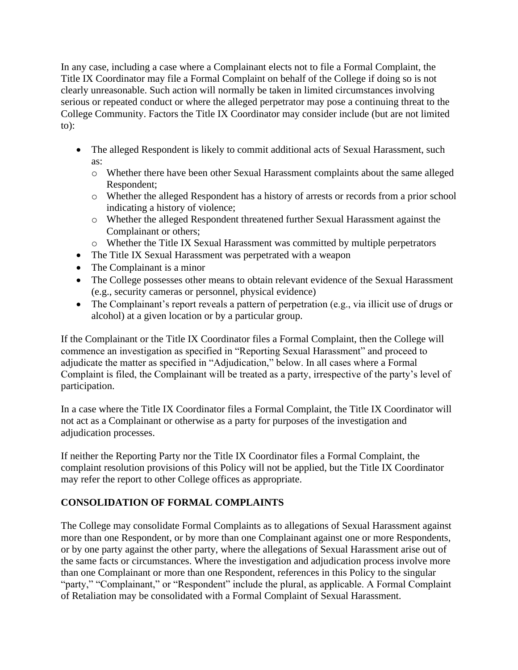In any case, including a case where a Complainant elects not to file a Formal Complaint, the Title IX Coordinator may file a Formal Complaint on behalf of the College if doing so is not clearly unreasonable. Such action will normally be taken in limited circumstances involving serious or repeated conduct or where the alleged perpetrator may pose a continuing threat to the College Community. Factors the Title IX Coordinator may consider include (but are not limited to):

- The alleged Respondent is likely to commit additional acts of Sexual Harassment, such as:
	- o Whether there have been other Sexual Harassment complaints about the same alleged Respondent;
	- o Whether the alleged Respondent has a history of arrests or records from a prior school indicating a history of violence;
	- o Whether the alleged Respondent threatened further Sexual Harassment against the Complainant or others;
	- o Whether the Title IX Sexual Harassment was committed by multiple perpetrators
- The Title IX Sexual Harassment was perpetrated with a weapon
- The Complainant is a minor
- The College possesses other means to obtain relevant evidence of the Sexual Harassment (e.g., security cameras or personnel, physical evidence)
- The Complainant's report reveals a pattern of perpetration (e.g., via illicit use of drugs or alcohol) at a given location or by a particular group.

If the Complainant or the Title IX Coordinator files a Formal Complaint, then the College will commence an investigation as specified in "Reporting Sexual Harassment" and proceed to adjudicate the matter as specified in "Adjudication," below. In all cases where a Formal Complaint is filed, the Complainant will be treated as a party, irrespective of the party's level of participation.

In a case where the Title IX Coordinator files a Formal Complaint, the Title IX Coordinator will not act as a Complainant or otherwise as a party for purposes of the investigation and adjudication processes.

If neither the Reporting Party nor the Title IX Coordinator files a Formal Complaint, the complaint resolution provisions of this Policy will not be applied, but the Title IX Coordinator may refer the report to other College offices as appropriate.

## **CONSOLIDATION OF FORMAL COMPLAINTS**

The College may consolidate Formal Complaints as to allegations of Sexual Harassment against more than one Respondent, or by more than one Complainant against one or more Respondents, or by one party against the other party, where the allegations of Sexual Harassment arise out of the same facts or circumstances. Where the investigation and adjudication process involve more than one Complainant or more than one Respondent, references in this Policy to the singular "party," "Complainant," or "Respondent" include the plural, as applicable. A Formal Complaint of Retaliation may be consolidated with a Formal Complaint of Sexual Harassment.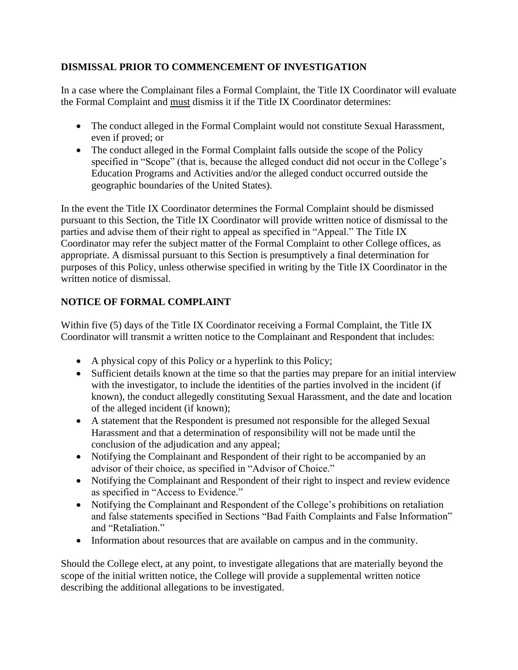## **DISMISSAL PRIOR TO COMMENCEMENT OF INVESTIGATION**

In a case where the Complainant files a Formal Complaint, the Title IX Coordinator will evaluate the Formal Complaint and must dismiss it if the Title IX Coordinator determines:

- The conduct alleged in the Formal Complaint would not constitute Sexual Harassment, even if proved; or
- The conduct alleged in the Formal Complaint falls outside the scope of the Policy specified in "Scope" (that is, because the alleged conduct did not occur in the College's Education Programs and Activities and/or the alleged conduct occurred outside the geographic boundaries of the United States).

In the event the Title IX Coordinator determines the Formal Complaint should be dismissed pursuant to this Section, the Title IX Coordinator will provide written notice of dismissal to the parties and advise them of their right to appeal as specified in "Appeal." The Title IX Coordinator may refer the subject matter of the Formal Complaint to other College offices, as appropriate. A dismissal pursuant to this Section is presumptively a final determination for purposes of this Policy, unless otherwise specified in writing by the Title IX Coordinator in the written notice of dismissal.

## **NOTICE OF FORMAL COMPLAINT**

Within five (5) days of the Title IX Coordinator receiving a Formal Complaint, the Title IX Coordinator will transmit a written notice to the Complainant and Respondent that includes:

- A physical copy of this Policy or a hyperlink to this Policy;
- Sufficient details known at the time so that the parties may prepare for an initial interview with the investigator, to include the identities of the parties involved in the incident (if known), the conduct allegedly constituting Sexual Harassment, and the date and location of the alleged incident (if known);
- A statement that the Respondent is presumed not responsible for the alleged Sexual Harassment and that a determination of responsibility will not be made until the conclusion of the adjudication and any appeal;
- Notifying the Complainant and Respondent of their right to be accompanied by an advisor of their choice, as specified in "Advisor of Choice."
- Notifying the Complainant and Respondent of their right to inspect and review evidence as specified in "Access to Evidence."
- Notifying the Complainant and Respondent of the College's prohibitions on retaliation and false statements specified in Sections "Bad Faith Complaints and False Information" and "Retaliation."
- Information about resources that are available on campus and in the community.

Should the College elect, at any point, to investigate allegations that are materially beyond the scope of the initial written notice, the College will provide a supplemental written notice describing the additional allegations to be investigated.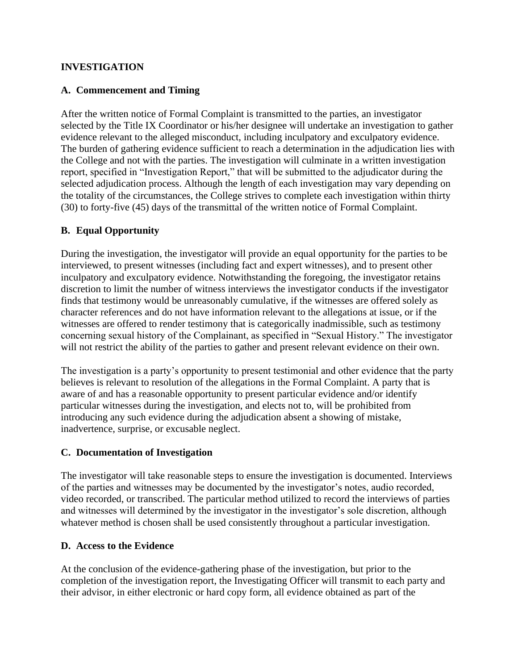#### **INVESTIGATION**

## **A. Commencement and Timing**

After the written notice of Formal Complaint is transmitted to the parties, an investigator selected by the Title IX Coordinator or his/her designee will undertake an investigation to gather evidence relevant to the alleged misconduct, including inculpatory and exculpatory evidence. The burden of gathering evidence sufficient to reach a determination in the adjudication lies with the College and not with the parties. The investigation will culminate in a written investigation report, specified in "Investigation Report," that will be submitted to the adjudicator during the selected adjudication process. Although the length of each investigation may vary depending on the totality of the circumstances, the College strives to complete each investigation within thirty (30) to forty-five (45) days of the transmittal of the written notice of Formal Complaint.

## **B. Equal Opportunity**

During the investigation, the investigator will provide an equal opportunity for the parties to be interviewed, to present witnesses (including fact and expert witnesses), and to present other inculpatory and exculpatory evidence. Notwithstanding the foregoing, the investigator retains discretion to limit the number of witness interviews the investigator conducts if the investigator finds that testimony would be unreasonably cumulative, if the witnesses are offered solely as character references and do not have information relevant to the allegations at issue, or if the witnesses are offered to render testimony that is categorically inadmissible, such as testimony concerning sexual history of the Complainant, as specified in "Sexual History." The investigator will not restrict the ability of the parties to gather and present relevant evidence on their own.

The investigation is a party's opportunity to present testimonial and other evidence that the party believes is relevant to resolution of the allegations in the Formal Complaint. A party that is aware of and has a reasonable opportunity to present particular evidence and/or identify particular witnesses during the investigation, and elects not to, will be prohibited from introducing any such evidence during the adjudication absent a showing of mistake, inadvertence, surprise, or excusable neglect.

#### **C. Documentation of Investigation**

The investigator will take reasonable steps to ensure the investigation is documented. Interviews of the parties and witnesses may be documented by the investigator's notes, audio recorded, video recorded, or transcribed. The particular method utilized to record the interviews of parties and witnesses will determined by the investigator in the investigator's sole discretion, although whatever method is chosen shall be used consistently throughout a particular investigation.

#### **D. Access to the Evidence**

At the conclusion of the evidence-gathering phase of the investigation, but prior to the completion of the investigation report, the Investigating Officer will transmit to each party and their advisor, in either electronic or hard copy form, all evidence obtained as part of the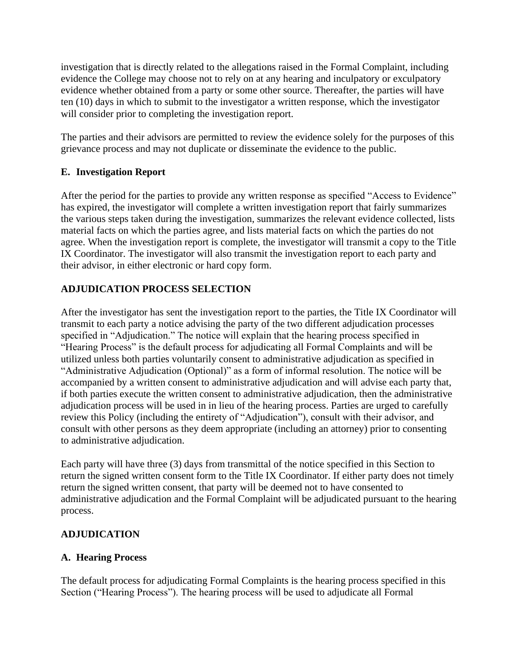investigation that is directly related to the allegations raised in the Formal Complaint, including evidence the College may choose not to rely on at any hearing and inculpatory or exculpatory evidence whether obtained from a party or some other source. Thereafter, the parties will have ten (10) days in which to submit to the investigator a written response, which the investigator will consider prior to completing the investigation report.

The parties and their advisors are permitted to review the evidence solely for the purposes of this grievance process and may not duplicate or disseminate the evidence to the public.

## **E. Investigation Report**

After the period for the parties to provide any written response as specified "Access to Evidence" has expired, the investigator will complete a written investigation report that fairly summarizes the various steps taken during the investigation, summarizes the relevant evidence collected, lists material facts on which the parties agree, and lists material facts on which the parties do not agree. When the investigation report is complete, the investigator will transmit a copy to the Title IX Coordinator. The investigator will also transmit the investigation report to each party and their advisor, in either electronic or hard copy form.

## **ADJUDICATION PROCESS SELECTION**

After the investigator has sent the investigation report to the parties, the Title IX Coordinator will transmit to each party a notice advising the party of the two different adjudication processes specified in "Adjudication." The notice will explain that the hearing process specified in "Hearing Process" is the default process for adjudicating all Formal Complaints and will be utilized unless both parties voluntarily consent to administrative adjudication as specified in "Administrative Adjudication (Optional)" as a form of informal resolution. The notice will be accompanied by a written consent to administrative adjudication and will advise each party that, if both parties execute the written consent to administrative adjudication, then the administrative adjudication process will be used in in lieu of the hearing process. Parties are urged to carefully review this Policy (including the entirety of "Adjudication"), consult with their advisor, and consult with other persons as they deem appropriate (including an attorney) prior to consenting to administrative adjudication.

Each party will have three (3) days from transmittal of the notice specified in this Section to return the signed written consent form to the Title IX Coordinator. If either party does not timely return the signed written consent, that party will be deemed not to have consented to administrative adjudication and the Formal Complaint will be adjudicated pursuant to the hearing process.

#### **ADJUDICATION**

## **A. Hearing Process**

The default process for adjudicating Formal Complaints is the hearing process specified in this Section ("Hearing Process"). The hearing process will be used to adjudicate all Formal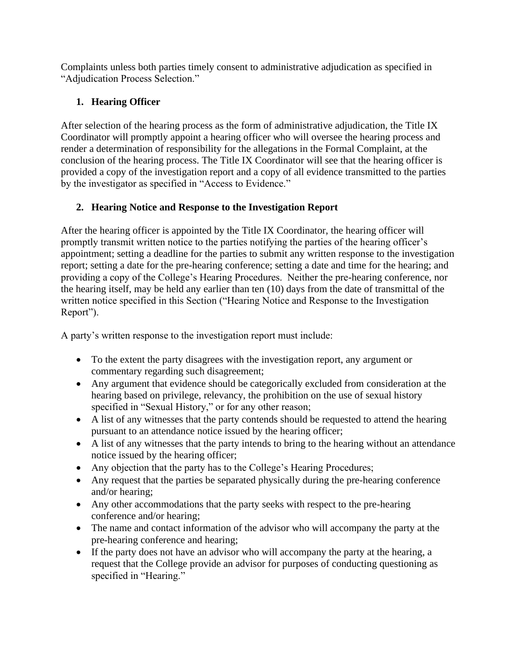Complaints unless both parties timely consent to administrative adjudication as specified in "Adjudication Process Selection."

## **1. Hearing Officer**

After selection of the hearing process as the form of administrative adjudication, the Title IX Coordinator will promptly appoint a hearing officer who will oversee the hearing process and render a determination of responsibility for the allegations in the Formal Complaint, at the conclusion of the hearing process. The Title IX Coordinator will see that the hearing officer is provided a copy of the investigation report and a copy of all evidence transmitted to the parties by the investigator as specified in "Access to Evidence."

## **2. Hearing Notice and Response to the Investigation Report**

After the hearing officer is appointed by the Title IX Coordinator, the hearing officer will promptly transmit written notice to the parties notifying the parties of the hearing officer's appointment; setting a deadline for the parties to submit any written response to the investigation report; setting a date for the pre-hearing conference; setting a date and time for the hearing; and providing a copy of the College's Hearing Procedures. Neither the pre-hearing conference, nor the hearing itself, may be held any earlier than ten (10) days from the date of transmittal of the written notice specified in this Section ("Hearing Notice and Response to the Investigation Report").

A party's written response to the investigation report must include:

- To the extent the party disagrees with the investigation report, any argument or commentary regarding such disagreement;
- Any argument that evidence should be categorically excluded from consideration at the hearing based on privilege, relevancy, the prohibition on the use of sexual history specified in "Sexual History," or for any other reason;
- A list of any witnesses that the party contends should be requested to attend the hearing pursuant to an attendance notice issued by the hearing officer;
- A list of any witnesses that the party intends to bring to the hearing without an attendance notice issued by the hearing officer;
- Any objection that the party has to the College's Hearing Procedures;
- Any request that the parties be separated physically during the pre-hearing conference and/or hearing;
- Any other accommodations that the party seeks with respect to the pre-hearing conference and/or hearing;
- The name and contact information of the advisor who will accompany the party at the pre-hearing conference and hearing;
- If the party does not have an advisor who will accompany the party at the hearing, a request that the College provide an advisor for purposes of conducting questioning as specified in "Hearing."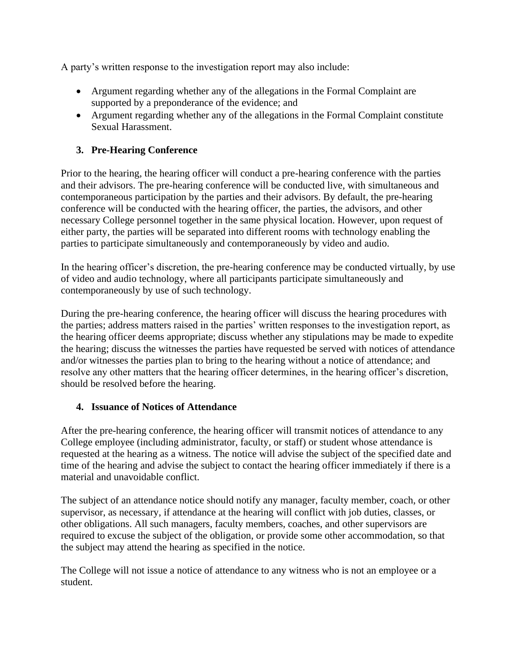A party's written response to the investigation report may also include:

- Argument regarding whether any of the allegations in the Formal Complaint are supported by a preponderance of the evidence; and
- Argument regarding whether any of the allegations in the Formal Complaint constitute Sexual Harassment.

## **3. Pre-Hearing Conference**

Prior to the hearing, the hearing officer will conduct a pre-hearing conference with the parties and their advisors. The pre-hearing conference will be conducted live, with simultaneous and contemporaneous participation by the parties and their advisors. By default, the pre-hearing conference will be conducted with the hearing officer, the parties, the advisors, and other necessary College personnel together in the same physical location. However, upon request of either party, the parties will be separated into different rooms with technology enabling the parties to participate simultaneously and contemporaneously by video and audio.

In the hearing officer's discretion, the pre-hearing conference may be conducted virtually, by use of video and audio technology, where all participants participate simultaneously and contemporaneously by use of such technology.

During the pre-hearing conference, the hearing officer will discuss the hearing procedures with the parties; address matters raised in the parties' written responses to the investigation report, as the hearing officer deems appropriate; discuss whether any stipulations may be made to expedite the hearing; discuss the witnesses the parties have requested be served with notices of attendance and/or witnesses the parties plan to bring to the hearing without a notice of attendance; and resolve any other matters that the hearing officer determines, in the hearing officer's discretion, should be resolved before the hearing.

## **4. Issuance of Notices of Attendance**

After the pre-hearing conference, the hearing officer will transmit notices of attendance to any College employee (including administrator, faculty, or staff) or student whose attendance is requested at the hearing as a witness. The notice will advise the subject of the specified date and time of the hearing and advise the subject to contact the hearing officer immediately if there is a material and unavoidable conflict.

The subject of an attendance notice should notify any manager, faculty member, coach, or other supervisor, as necessary, if attendance at the hearing will conflict with job duties, classes, or other obligations. All such managers, faculty members, coaches, and other supervisors are required to excuse the subject of the obligation, or provide some other accommodation, so that the subject may attend the hearing as specified in the notice.

The College will not issue a notice of attendance to any witness who is not an employee or a student.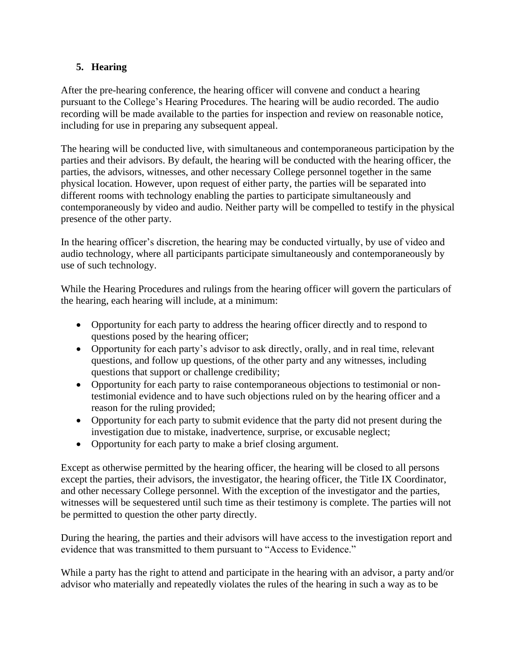## **5. Hearing**

After the pre-hearing conference, the hearing officer will convene and conduct a hearing pursuant to the College's Hearing Procedures. The hearing will be audio recorded. The audio recording will be made available to the parties for inspection and review on reasonable notice, including for use in preparing any subsequent appeal.

The hearing will be conducted live, with simultaneous and contemporaneous participation by the parties and their advisors. By default, the hearing will be conducted with the hearing officer, the parties, the advisors, witnesses, and other necessary College personnel together in the same physical location. However, upon request of either party, the parties will be separated into different rooms with technology enabling the parties to participate simultaneously and contemporaneously by video and audio. Neither party will be compelled to testify in the physical presence of the other party.

In the hearing officer's discretion, the hearing may be conducted virtually, by use of video and audio technology, where all participants participate simultaneously and contemporaneously by use of such technology.

While the Hearing Procedures and rulings from the hearing officer will govern the particulars of the hearing, each hearing will include, at a minimum:

- Opportunity for each party to address the hearing officer directly and to respond to questions posed by the hearing officer;
- Opportunity for each party's advisor to ask directly, orally, and in real time, relevant questions, and follow up questions, of the other party and any witnesses, including questions that support or challenge credibility;
- Opportunity for each party to raise contemporaneous objections to testimonial or nontestimonial evidence and to have such objections ruled on by the hearing officer and a reason for the ruling provided;
- Opportunity for each party to submit evidence that the party did not present during the investigation due to mistake, inadvertence, surprise, or excusable neglect;
- Opportunity for each party to make a brief closing argument.

Except as otherwise permitted by the hearing officer, the hearing will be closed to all persons except the parties, their advisors, the investigator, the hearing officer, the Title IX Coordinator, and other necessary College personnel. With the exception of the investigator and the parties, witnesses will be sequestered until such time as their testimony is complete. The parties will not be permitted to question the other party directly.

During the hearing, the parties and their advisors will have access to the investigation report and evidence that was transmitted to them pursuant to "Access to Evidence."

While a party has the right to attend and participate in the hearing with an advisor, a party and/or advisor who materially and repeatedly violates the rules of the hearing in such a way as to be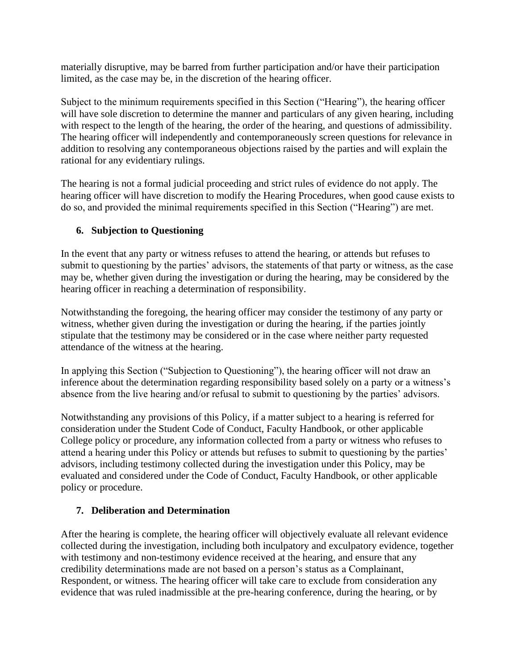materially disruptive, may be barred from further participation and/or have their participation limited, as the case may be, in the discretion of the hearing officer.

Subject to the minimum requirements specified in this Section ("Hearing"), the hearing officer will have sole discretion to determine the manner and particulars of any given hearing, including with respect to the length of the hearing, the order of the hearing, and questions of admissibility. The hearing officer will independently and contemporaneously screen questions for relevance in addition to resolving any contemporaneous objections raised by the parties and will explain the rational for any evidentiary rulings.

The hearing is not a formal judicial proceeding and strict rules of evidence do not apply. The hearing officer will have discretion to modify the Hearing Procedures, when good cause exists to do so, and provided the minimal requirements specified in this Section ("Hearing") are met.

## **6. Subjection to Questioning**

In the event that any party or witness refuses to attend the hearing, or attends but refuses to submit to questioning by the parties' advisors, the statements of that party or witness, as the case may be, whether given during the investigation or during the hearing, may be considered by the hearing officer in reaching a determination of responsibility.

Notwithstanding the foregoing, the hearing officer may consider the testimony of any party or witness, whether given during the investigation or during the hearing, if the parties jointly stipulate that the testimony may be considered or in the case where neither party requested attendance of the witness at the hearing.

In applying this Section ("Subjection to Questioning"), the hearing officer will not draw an inference about the determination regarding responsibility based solely on a party or a witness's absence from the live hearing and/or refusal to submit to questioning by the parties' advisors.

Notwithstanding any provisions of this Policy, if a matter subject to a hearing is referred for consideration under the Student Code of Conduct, Faculty Handbook, or other applicable College policy or procedure, any information collected from a party or witness who refuses to attend a hearing under this Policy or attends but refuses to submit to questioning by the parties' advisors, including testimony collected during the investigation under this Policy, may be evaluated and considered under the Code of Conduct, Faculty Handbook, or other applicable policy or procedure.

## **7. Deliberation and Determination**

After the hearing is complete, the hearing officer will objectively evaluate all relevant evidence collected during the investigation, including both inculpatory and exculpatory evidence, together with testimony and non-testimony evidence received at the hearing, and ensure that any credibility determinations made are not based on a person's status as a Complainant, Respondent, or witness. The hearing officer will take care to exclude from consideration any evidence that was ruled inadmissible at the pre-hearing conference, during the hearing, or by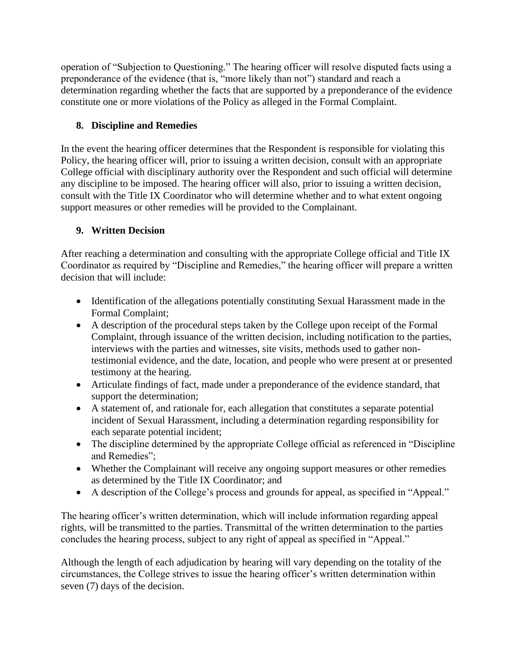operation of "Subjection to Questioning." The hearing officer will resolve disputed facts using a preponderance of the evidence (that is, "more likely than not") standard and reach a determination regarding whether the facts that are supported by a preponderance of the evidence constitute one or more violations of the Policy as alleged in the Formal Complaint.

## **8. Discipline and Remedies**

In the event the hearing officer determines that the Respondent is responsible for violating this Policy, the hearing officer will, prior to issuing a written decision, consult with an appropriate College official with disciplinary authority over the Respondent and such official will determine any discipline to be imposed. The hearing officer will also, prior to issuing a written decision, consult with the Title IX Coordinator who will determine whether and to what extent ongoing support measures or other remedies will be provided to the Complainant.

## **9. Written Decision**

After reaching a determination and consulting with the appropriate College official and Title IX Coordinator as required by "Discipline and Remedies," the hearing officer will prepare a written decision that will include:

- Identification of the allegations potentially constituting Sexual Harassment made in the Formal Complaint;
- A description of the procedural steps taken by the College upon receipt of the Formal Complaint, through issuance of the written decision, including notification to the parties, interviews with the parties and witnesses, site visits, methods used to gather nontestimonial evidence, and the date, location, and people who were present at or presented testimony at the hearing.
- Articulate findings of fact, made under a preponderance of the evidence standard, that support the determination;
- A statement of, and rationale for, each allegation that constitutes a separate potential incident of Sexual Harassment, including a determination regarding responsibility for each separate potential incident;
- The discipline determined by the appropriate College official as referenced in "Discipline" and Remedies";
- Whether the Complainant will receive any ongoing support measures or other remedies as determined by the Title IX Coordinator; and
- A description of the College's process and grounds for appeal, as specified in "Appeal."

The hearing officer's written determination, which will include information regarding appeal rights, will be transmitted to the parties. Transmittal of the written determination to the parties concludes the hearing process, subject to any right of appeal as specified in "Appeal."

Although the length of each adjudication by hearing will vary depending on the totality of the circumstances, the College strives to issue the hearing officer's written determination within seven (7) days of the decision.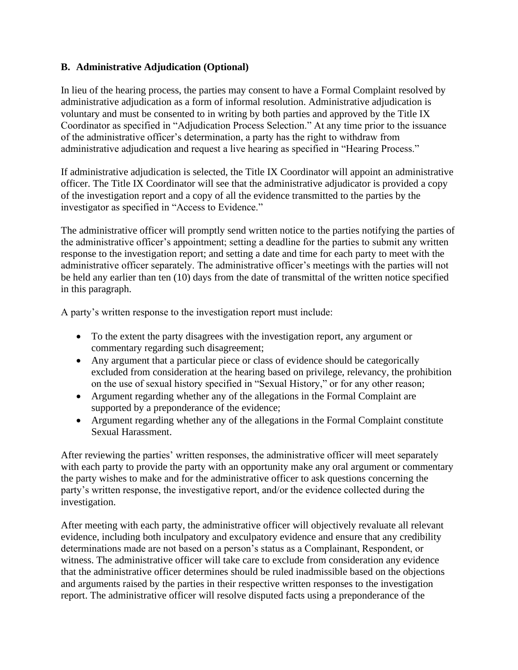#### **B. Administrative Adjudication (Optional)**

In lieu of the hearing process, the parties may consent to have a Formal Complaint resolved by administrative adjudication as a form of informal resolution. Administrative adjudication is voluntary and must be consented to in writing by both parties and approved by the Title IX Coordinator as specified in "Adjudication Process Selection." At any time prior to the issuance of the administrative officer's determination, a party has the right to withdraw from administrative adjudication and request a live hearing as specified in "Hearing Process."

If administrative adjudication is selected, the Title IX Coordinator will appoint an administrative officer. The Title IX Coordinator will see that the administrative adjudicator is provided a copy of the investigation report and a copy of all the evidence transmitted to the parties by the investigator as specified in "Access to Evidence."

The administrative officer will promptly send written notice to the parties notifying the parties of the administrative officer's appointment; setting a deadline for the parties to submit any written response to the investigation report; and setting a date and time for each party to meet with the administrative officer separately. The administrative officer's meetings with the parties will not be held any earlier than ten (10) days from the date of transmittal of the written notice specified in this paragraph.

A party's written response to the investigation report must include:

- To the extent the party disagrees with the investigation report, any argument or commentary regarding such disagreement;
- Any argument that a particular piece or class of evidence should be categorically excluded from consideration at the hearing based on privilege, relevancy, the prohibition on the use of sexual history specified in "Sexual History," or for any other reason;
- Argument regarding whether any of the allegations in the Formal Complaint are supported by a preponderance of the evidence;
- Argument regarding whether any of the allegations in the Formal Complaint constitute Sexual Harassment.

After reviewing the parties' written responses, the administrative officer will meet separately with each party to provide the party with an opportunity make any oral argument or commentary the party wishes to make and for the administrative officer to ask questions concerning the party's written response, the investigative report, and/or the evidence collected during the investigation.

After meeting with each party, the administrative officer will objectively revaluate all relevant evidence, including both inculpatory and exculpatory evidence and ensure that any credibility determinations made are not based on a person's status as a Complainant, Respondent, or witness. The administrative officer will take care to exclude from consideration any evidence that the administrative officer determines should be ruled inadmissible based on the objections and arguments raised by the parties in their respective written responses to the investigation report. The administrative officer will resolve disputed facts using a preponderance of the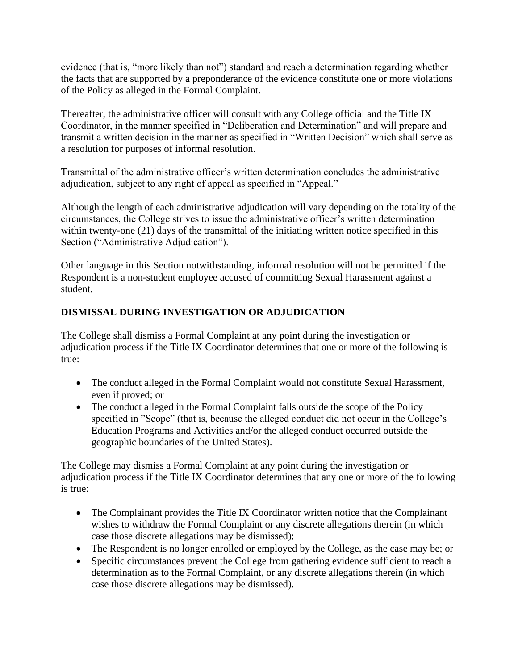evidence (that is, "more likely than not") standard and reach a determination regarding whether the facts that are supported by a preponderance of the evidence constitute one or more violations of the Policy as alleged in the Formal Complaint.

Thereafter, the administrative officer will consult with any College official and the Title IX Coordinator, in the manner specified in "Deliberation and Determination" and will prepare and transmit a written decision in the manner as specified in "Written Decision" which shall serve as a resolution for purposes of informal resolution.

Transmittal of the administrative officer's written determination concludes the administrative adjudication, subject to any right of appeal as specified in "Appeal."

Although the length of each administrative adjudication will vary depending on the totality of the circumstances, the College strives to issue the administrative officer's written determination within twenty-one (21) days of the transmittal of the initiating written notice specified in this Section ("Administrative Adjudication").

Other language in this Section notwithstanding, informal resolution will not be permitted if the Respondent is a non-student employee accused of committing Sexual Harassment against a student.

## **DISMISSAL DURING INVESTIGATION OR ADJUDICATION**

The College shall dismiss a Formal Complaint at any point during the investigation or adjudication process if the Title IX Coordinator determines that one or more of the following is true:

- The conduct alleged in the Formal Complaint would not constitute Sexual Harassment, even if proved; or
- The conduct alleged in the Formal Complaint falls outside the scope of the Policy specified in "Scope" (that is, because the alleged conduct did not occur in the College's Education Programs and Activities and/or the alleged conduct occurred outside the geographic boundaries of the United States).

The College may dismiss a Formal Complaint at any point during the investigation or adjudication process if the Title IX Coordinator determines that any one or more of the following is true:

- The Complainant provides the Title IX Coordinator written notice that the Complainant wishes to withdraw the Formal Complaint or any discrete allegations therein (in which case those discrete allegations may be dismissed);
- The Respondent is no longer enrolled or employed by the College, as the case may be; or
- Specific circumstances prevent the College from gathering evidence sufficient to reach a determination as to the Formal Complaint, or any discrete allegations therein (in which case those discrete allegations may be dismissed).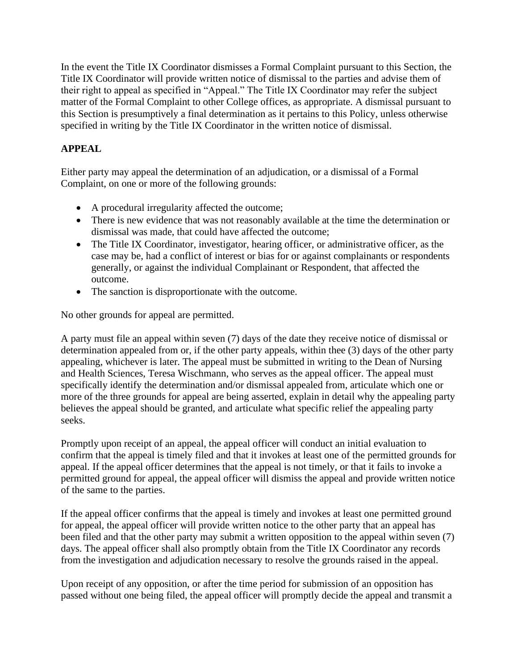In the event the Title IX Coordinator dismisses a Formal Complaint pursuant to this Section, the Title IX Coordinator will provide written notice of dismissal to the parties and advise them of their right to appeal as specified in "Appeal." The Title IX Coordinator may refer the subject matter of the Formal Complaint to other College offices, as appropriate. A dismissal pursuant to this Section is presumptively a final determination as it pertains to this Policy, unless otherwise specified in writing by the Title IX Coordinator in the written notice of dismissal.

## **APPEAL**

Either party may appeal the determination of an adjudication, or a dismissal of a Formal Complaint, on one or more of the following grounds:

- A procedural irregularity affected the outcome;
- There is new evidence that was not reasonably available at the time the determination or dismissal was made, that could have affected the outcome;
- The Title IX Coordinator, investigator, hearing officer, or administrative officer, as the case may be, had a conflict of interest or bias for or against complainants or respondents generally, or against the individual Complainant or Respondent, that affected the outcome.
- The sanction is disproportionate with the outcome.

No other grounds for appeal are permitted.

A party must file an appeal within seven (7) days of the date they receive notice of dismissal or determination appealed from or, if the other party appeals, within thee (3) days of the other party appealing, whichever is later. The appeal must be submitted in writing to the Dean of Nursing and Health Sciences, Teresa Wischmann, who serves as the appeal officer. The appeal must specifically identify the determination and/or dismissal appealed from, articulate which one or more of the three grounds for appeal are being asserted, explain in detail why the appealing party believes the appeal should be granted, and articulate what specific relief the appealing party seeks.

Promptly upon receipt of an appeal, the appeal officer will conduct an initial evaluation to confirm that the appeal is timely filed and that it invokes at least one of the permitted grounds for appeal. If the appeal officer determines that the appeal is not timely, or that it fails to invoke a permitted ground for appeal, the appeal officer will dismiss the appeal and provide written notice of the same to the parties.

If the appeal officer confirms that the appeal is timely and invokes at least one permitted ground for appeal, the appeal officer will provide written notice to the other party that an appeal has been filed and that the other party may submit a written opposition to the appeal within seven (7) days. The appeal officer shall also promptly obtain from the Title IX Coordinator any records from the investigation and adjudication necessary to resolve the grounds raised in the appeal.

Upon receipt of any opposition, or after the time period for submission of an opposition has passed without one being filed, the appeal officer will promptly decide the appeal and transmit a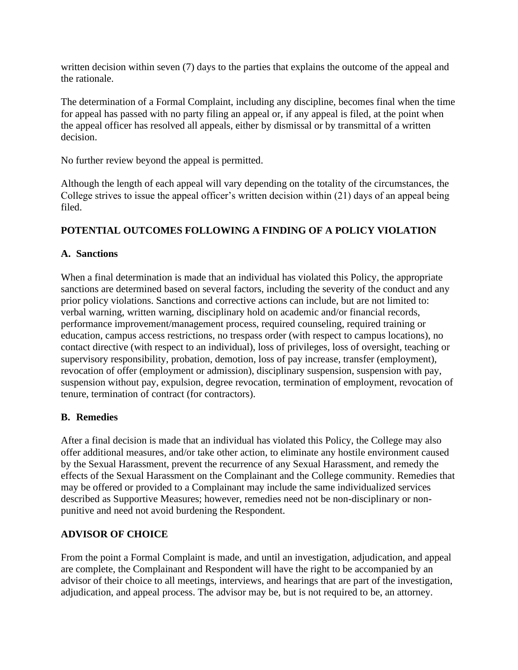written decision within seven (7) days to the parties that explains the outcome of the appeal and the rationale.

The determination of a Formal Complaint, including any discipline, becomes final when the time for appeal has passed with no party filing an appeal or, if any appeal is filed, at the point when the appeal officer has resolved all appeals, either by dismissal or by transmittal of a written decision.

No further review beyond the appeal is permitted.

Although the length of each appeal will vary depending on the totality of the circumstances, the College strives to issue the appeal officer's written decision within (21) days of an appeal being filed.

## **POTENTIAL OUTCOMES FOLLOWING A FINDING OF A POLICY VIOLATION**

#### **A. Sanctions**

When a final determination is made that an individual has violated this Policy, the appropriate sanctions are determined based on several factors, including the severity of the conduct and any prior policy violations. Sanctions and corrective actions can include, but are not limited to: verbal warning, written warning, disciplinary hold on academic and/or financial records, performance improvement/management process, required counseling, required training or education, campus access restrictions, no trespass order (with respect to campus locations), no contact directive (with respect to an individual), loss of privileges, loss of oversight, teaching or supervisory responsibility, probation, demotion, loss of pay increase, transfer (employment), revocation of offer (employment or admission), disciplinary suspension, suspension with pay, suspension without pay, expulsion, degree revocation, termination of employment, revocation of tenure, termination of contract (for contractors).

#### **B. Remedies**

After a final decision is made that an individual has violated this Policy, the College may also offer additional measures, and/or take other action, to eliminate any hostile environment caused by the Sexual Harassment, prevent the recurrence of any Sexual Harassment, and remedy the effects of the Sexual Harassment on the Complainant and the College community. Remedies that may be offered or provided to a Complainant may include the same individualized services described as Supportive Measures; however, remedies need not be non-disciplinary or nonpunitive and need not avoid burdening the Respondent.

#### **ADVISOR OF CHOICE**

From the point a Formal Complaint is made, and until an investigation, adjudication, and appeal are complete, the Complainant and Respondent will have the right to be accompanied by an advisor of their choice to all meetings, interviews, and hearings that are part of the investigation, adjudication, and appeal process. The advisor may be, but is not required to be, an attorney.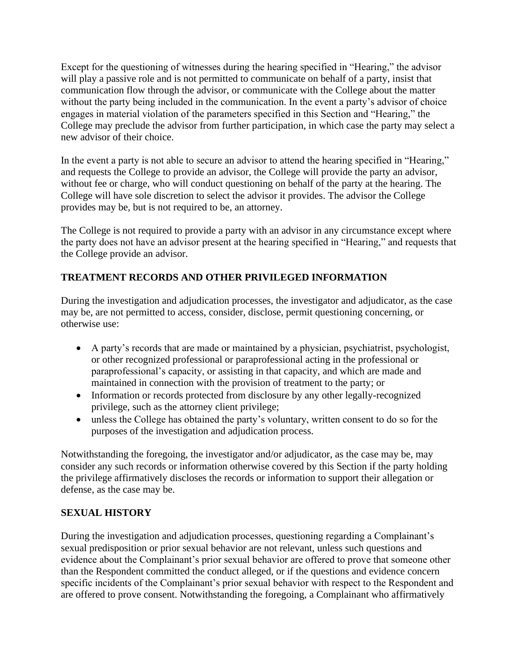Except for the questioning of witnesses during the hearing specified in "Hearing," the advisor will play a passive role and is not permitted to communicate on behalf of a party, insist that communication flow through the advisor, or communicate with the College about the matter without the party being included in the communication. In the event a party's advisor of choice engages in material violation of the parameters specified in this Section and "Hearing," the College may preclude the advisor from further participation, in which case the party may select a new advisor of their choice.

In the event a party is not able to secure an advisor to attend the hearing specified in "Hearing," and requests the College to provide an advisor, the College will provide the party an advisor, without fee or charge, who will conduct questioning on behalf of the party at the hearing. The College will have sole discretion to select the advisor it provides. The advisor the College provides may be, but is not required to be, an attorney.

The College is not required to provide a party with an advisor in any circumstance except where the party does not have an advisor present at the hearing specified in "Hearing," and requests that the College provide an advisor.

## **TREATMENT RECORDS AND OTHER PRIVILEGED INFORMATION**

During the investigation and adjudication processes, the investigator and adjudicator, as the case may be, are not permitted to access, consider, disclose, permit questioning concerning, or otherwise use:

- A party's records that are made or maintained by a physician, psychiatrist, psychologist, or other recognized professional or paraprofessional acting in the professional or paraprofessional's capacity, or assisting in that capacity, and which are made and maintained in connection with the provision of treatment to the party; or
- Information or records protected from disclosure by any other legally-recognized privilege, such as the attorney client privilege;
- unless the College has obtained the party's voluntary, written consent to do so for the purposes of the investigation and adjudication process.

Notwithstanding the foregoing, the investigator and/or adjudicator, as the case may be, may consider any such records or information otherwise covered by this Section if the party holding the privilege affirmatively discloses the records or information to support their allegation or defense, as the case may be.

#### **SEXUAL HISTORY**

During the investigation and adjudication processes, questioning regarding a Complainant's sexual predisposition or prior sexual behavior are not relevant, unless such questions and evidence about the Complainant's prior sexual behavior are offered to prove that someone other than the Respondent committed the conduct alleged, or if the questions and evidence concern specific incidents of the Complainant's prior sexual behavior with respect to the Respondent and are offered to prove consent. Notwithstanding the foregoing, a Complainant who affirmatively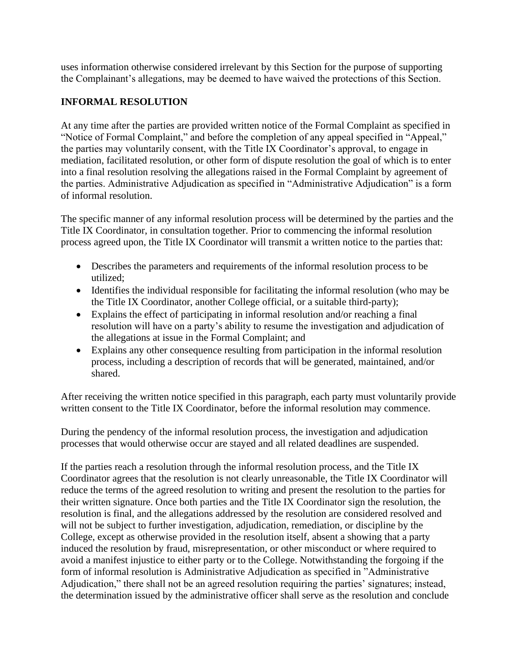uses information otherwise considered irrelevant by this Section for the purpose of supporting the Complainant's allegations, may be deemed to have waived the protections of this Section.

#### **INFORMAL RESOLUTION**

At any time after the parties are provided written notice of the Formal Complaint as specified in "Notice of Formal Complaint," and before the completion of any appeal specified in "Appeal," the parties may voluntarily consent, with the Title IX Coordinator's approval, to engage in mediation, facilitated resolution, or other form of dispute resolution the goal of which is to enter into a final resolution resolving the allegations raised in the Formal Complaint by agreement of the parties. Administrative Adjudication as specified in "Administrative Adjudication" is a form of informal resolution.

The specific manner of any informal resolution process will be determined by the parties and the Title IX Coordinator, in consultation together. Prior to commencing the informal resolution process agreed upon, the Title IX Coordinator will transmit a written notice to the parties that:

- Describes the parameters and requirements of the informal resolution process to be utilized;
- Identifies the individual responsible for facilitating the informal resolution (who may be the Title IX Coordinator, another College official, or a suitable third-party);
- Explains the effect of participating in informal resolution and/or reaching a final resolution will have on a party's ability to resume the investigation and adjudication of the allegations at issue in the Formal Complaint; and
- Explains any other consequence resulting from participation in the informal resolution process, including a description of records that will be generated, maintained, and/or shared.

After receiving the written notice specified in this paragraph, each party must voluntarily provide written consent to the Title IX Coordinator, before the informal resolution may commence.

During the pendency of the informal resolution process, the investigation and adjudication processes that would otherwise occur are stayed and all related deadlines are suspended.

If the parties reach a resolution through the informal resolution process, and the Title IX Coordinator agrees that the resolution is not clearly unreasonable, the Title IX Coordinator will reduce the terms of the agreed resolution to writing and present the resolution to the parties for their written signature. Once both parties and the Title IX Coordinator sign the resolution, the resolution is final, and the allegations addressed by the resolution are considered resolved and will not be subject to further investigation, adjudication, remediation, or discipline by the College, except as otherwise provided in the resolution itself, absent a showing that a party induced the resolution by fraud, misrepresentation, or other misconduct or where required to avoid a manifest injustice to either party or to the College. Notwithstanding the forgoing if the form of informal resolution is Administrative Adjudication as specified in "Administrative Adjudication," there shall not be an agreed resolution requiring the parties' signatures; instead, the determination issued by the administrative officer shall serve as the resolution and conclude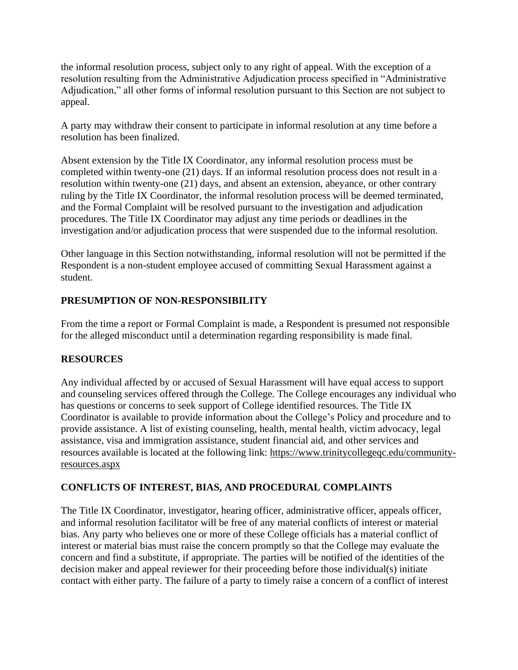the informal resolution process, subject only to any right of appeal. With the exception of a resolution resulting from the Administrative Adjudication process specified in "Administrative Adjudication," all other forms of informal resolution pursuant to this Section are not subject to appeal.

A party may withdraw their consent to participate in informal resolution at any time before a resolution has been finalized.

Absent extension by the Title IX Coordinator, any informal resolution process must be completed within twenty-one (21) days. If an informal resolution process does not result in a resolution within twenty-one (21) days, and absent an extension, abeyance, or other contrary ruling by the Title IX Coordinator, the informal resolution process will be deemed terminated, and the Formal Complaint will be resolved pursuant to the investigation and adjudication procedures. The Title IX Coordinator may adjust any time periods or deadlines in the investigation and/or adjudication process that were suspended due to the informal resolution.

Other language in this Section notwithstanding, informal resolution will not be permitted if the Respondent is a non-student employee accused of committing Sexual Harassment against a student.

## **PRESUMPTION OF NON-RESPONSIBILITY**

From the time a report or Formal Complaint is made, a Respondent is presumed not responsible for the alleged misconduct until a determination regarding responsibility is made final.

#### **RESOURCES**

Any individual affected by or accused of Sexual Harassment will have equal access to support and counseling services offered through the College. The College encourages any individual who has questions or concerns to seek support of College identified resources. The Title IX Coordinator is available to provide information about the College's Policy and procedure and to provide assistance. A list of existing counseling, health, mental health, victim advocacy, legal assistance, visa and immigration assistance, student financial aid, and other services and resources available is located at the following link: [https://www.trinitycollegeqc.edu/community](https://www.trinitycollegeqc.edu/community-resources.aspx)[resources.aspx](https://www.trinitycollegeqc.edu/community-resources.aspx)

#### **CONFLICTS OF INTEREST, BIAS, AND PROCEDURAL COMPLAINTS**

The Title IX Coordinator, investigator, hearing officer, administrative officer, appeals officer, and informal resolution facilitator will be free of any material conflicts of interest or material bias. Any party who believes one or more of these College officials has a material conflict of interest or material bias must raise the concern promptly so that the College may evaluate the concern and find a substitute, if appropriate. The parties will be notified of the identities of the decision maker and appeal reviewer for their proceeding before those individual(s) initiate contact with either party. The failure of a party to timely raise a concern of a conflict of interest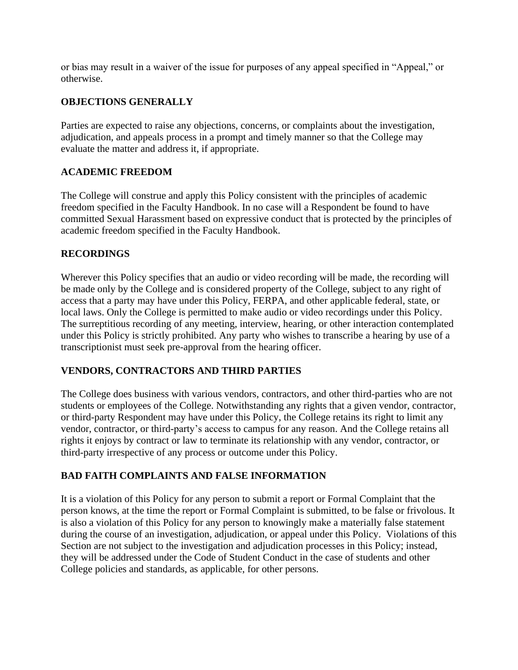or bias may result in a waiver of the issue for purposes of any appeal specified in "Appeal," or otherwise.

## **OBJECTIONS GENERALLY**

Parties are expected to raise any objections, concerns, or complaints about the investigation, adjudication, and appeals process in a prompt and timely manner so that the College may evaluate the matter and address it, if appropriate.

#### **ACADEMIC FREEDOM**

The College will construe and apply this Policy consistent with the principles of academic freedom specified in the Faculty Handbook. In no case will a Respondent be found to have committed Sexual Harassment based on expressive conduct that is protected by the principles of academic freedom specified in the Faculty Handbook.

#### **RECORDINGS**

Wherever this Policy specifies that an audio or video recording will be made, the recording will be made only by the College and is considered property of the College, subject to any right of access that a party may have under this Policy, FERPA, and other applicable federal, state, or local laws. Only the College is permitted to make audio or video recordings under this Policy. The surreptitious recording of any meeting, interview, hearing, or other interaction contemplated under this Policy is strictly prohibited. Any party who wishes to transcribe a hearing by use of a transcriptionist must seek pre-approval from the hearing officer.

#### **VENDORS, CONTRACTORS AND THIRD PARTIES**

The College does business with various vendors, contractors, and other third-parties who are not students or employees of the College. Notwithstanding any rights that a given vendor, contractor, or third-party Respondent may have under this Policy, the College retains its right to limit any vendor, contractor, or third-party's access to campus for any reason. And the College retains all rights it enjoys by contract or law to terminate its relationship with any vendor, contractor, or third-party irrespective of any process or outcome under this Policy.

#### **BAD FAITH COMPLAINTS AND FALSE INFORMATION**

It is a violation of this Policy for any person to submit a report or Formal Complaint that the person knows, at the time the report or Formal Complaint is submitted, to be false or frivolous. It is also a violation of this Policy for any person to knowingly make a materially false statement during the course of an investigation, adjudication, or appeal under this Policy. Violations of this Section are not subject to the investigation and adjudication processes in this Policy; instead, they will be addressed under the Code of Student Conduct in the case of students and other College policies and standards, as applicable, for other persons.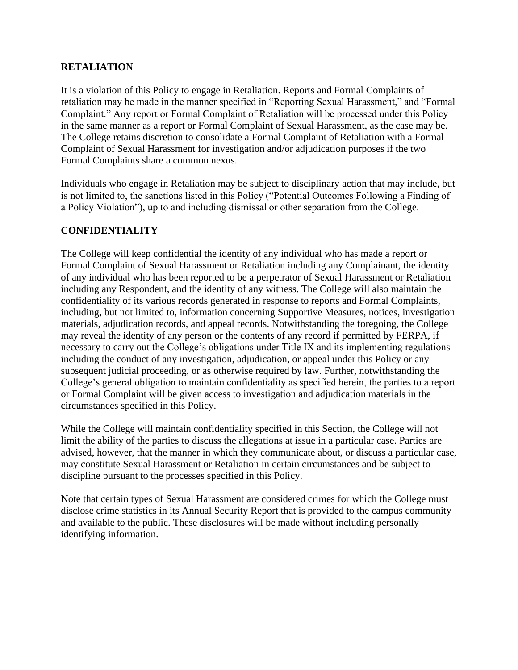#### **RETALIATION**

It is a violation of this Policy to engage in Retaliation. Reports and Formal Complaints of retaliation may be made in the manner specified in "Reporting Sexual Harassment," and "Formal Complaint." Any report or Formal Complaint of Retaliation will be processed under this Policy in the same manner as a report or Formal Complaint of Sexual Harassment, as the case may be. The College retains discretion to consolidate a Formal Complaint of Retaliation with a Formal Complaint of Sexual Harassment for investigation and/or adjudication purposes if the two Formal Complaints share a common nexus.

Individuals who engage in Retaliation may be subject to disciplinary action that may include, but is not limited to, the sanctions listed in this Policy ("Potential Outcomes Following a Finding of a Policy Violation"), up to and including dismissal or other separation from the College.

#### **CONFIDENTIALITY**

The College will keep confidential the identity of any individual who has made a report or Formal Complaint of Sexual Harassment or Retaliation including any Complainant, the identity of any individual who has been reported to be a perpetrator of Sexual Harassment or Retaliation including any Respondent, and the identity of any witness. The College will also maintain the confidentiality of its various records generated in response to reports and Formal Complaints, including, but not limited to, information concerning Supportive Measures, notices, investigation materials, adjudication records, and appeal records. Notwithstanding the foregoing, the College may reveal the identity of any person or the contents of any record if permitted by FERPA, if necessary to carry out the College's obligations under Title IX and its implementing regulations including the conduct of any investigation, adjudication, or appeal under this Policy or any subsequent judicial proceeding, or as otherwise required by law. Further, notwithstanding the College's general obligation to maintain confidentiality as specified herein, the parties to a report or Formal Complaint will be given access to investigation and adjudication materials in the circumstances specified in this Policy.

While the College will maintain confidentiality specified in this Section, the College will not limit the ability of the parties to discuss the allegations at issue in a particular case. Parties are advised, however, that the manner in which they communicate about, or discuss a particular case, may constitute Sexual Harassment or Retaliation in certain circumstances and be subject to discipline pursuant to the processes specified in this Policy.

Note that certain types of Sexual Harassment are considered crimes for which the College must disclose crime statistics in its Annual Security Report that is provided to the campus community and available to the public. These disclosures will be made without including personally identifying information.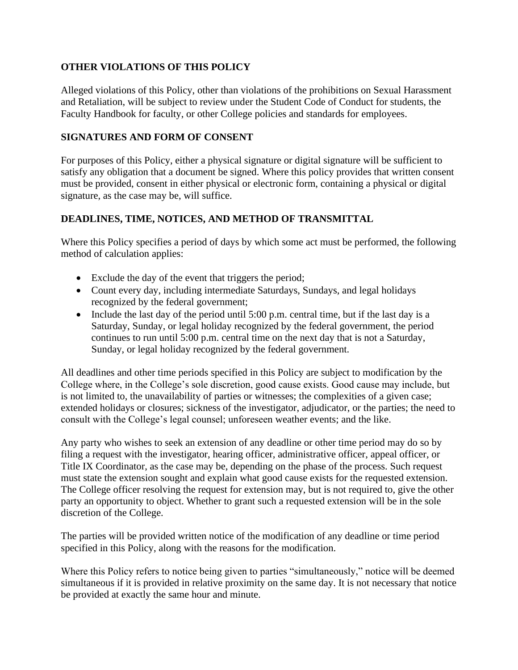## **OTHER VIOLATIONS OF THIS POLICY**

Alleged violations of this Policy, other than violations of the prohibitions on Sexual Harassment and Retaliation, will be subject to review under the Student Code of Conduct for students, the Faculty Handbook for faculty, or other College policies and standards for employees.

## **SIGNATURES AND FORM OF CONSENT**

For purposes of this Policy, either a physical signature or digital signature will be sufficient to satisfy any obligation that a document be signed. Where this policy provides that written consent must be provided, consent in either physical or electronic form, containing a physical or digital signature, as the case may be, will suffice.

## **DEADLINES, TIME, NOTICES, AND METHOD OF TRANSMITTAL**

Where this Policy specifies a period of days by which some act must be performed, the following method of calculation applies:

- Exclude the day of the event that triggers the period;
- Count every day, including intermediate Saturdays, Sundays, and legal holidays recognized by the federal government;
- Include the last day of the period until 5:00 p.m. central time, but if the last day is a Saturday, Sunday, or legal holiday recognized by the federal government, the period continues to run until 5:00 p.m. central time on the next day that is not a Saturday, Sunday, or legal holiday recognized by the federal government.

All deadlines and other time periods specified in this Policy are subject to modification by the College where, in the College's sole discretion, good cause exists. Good cause may include, but is not limited to, the unavailability of parties or witnesses; the complexities of a given case; extended holidays or closures; sickness of the investigator, adjudicator, or the parties; the need to consult with the College's legal counsel; unforeseen weather events; and the like.

Any party who wishes to seek an extension of any deadline or other time period may do so by filing a request with the investigator, hearing officer, administrative officer, appeal officer, or Title IX Coordinator, as the case may be, depending on the phase of the process. Such request must state the extension sought and explain what good cause exists for the requested extension. The College officer resolving the request for extension may, but is not required to, give the other party an opportunity to object. Whether to grant such a requested extension will be in the sole discretion of the College.

The parties will be provided written notice of the modification of any deadline or time period specified in this Policy, along with the reasons for the modification.

Where this Policy refers to notice being given to parties "simultaneously," notice will be deemed simultaneous if it is provided in relative proximity on the same day. It is not necessary that notice be provided at exactly the same hour and minute.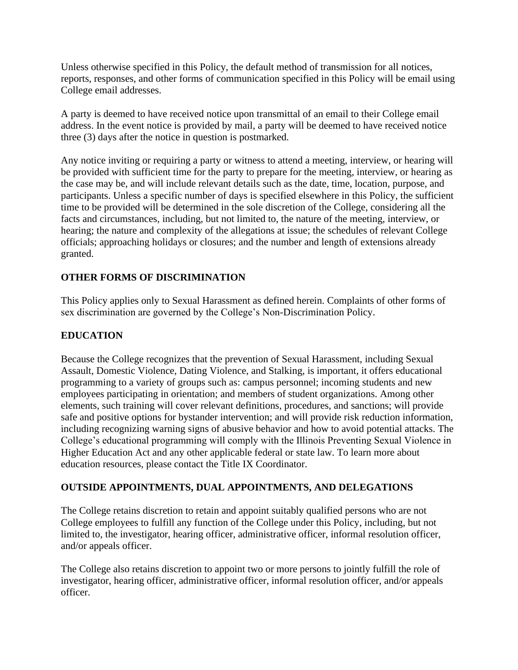Unless otherwise specified in this Policy, the default method of transmission for all notices, reports, responses, and other forms of communication specified in this Policy will be email using College email addresses.

A party is deemed to have received notice upon transmittal of an email to their College email address. In the event notice is provided by mail, a party will be deemed to have received notice three (3) days after the notice in question is postmarked.

Any notice inviting or requiring a party or witness to attend a meeting, interview, or hearing will be provided with sufficient time for the party to prepare for the meeting, interview, or hearing as the case may be, and will include relevant details such as the date, time, location, purpose, and participants. Unless a specific number of days is specified elsewhere in this Policy, the sufficient time to be provided will be determined in the sole discretion of the College, considering all the facts and circumstances, including, but not limited to, the nature of the meeting, interview, or hearing; the nature and complexity of the allegations at issue; the schedules of relevant College officials; approaching holidays or closures; and the number and length of extensions already granted.

## **OTHER FORMS OF DISCRIMINATION**

This Policy applies only to Sexual Harassment as defined herein. Complaints of other forms of sex discrimination are governed by the College's Non-Discrimination Policy.

## **EDUCATION**

Because the College recognizes that the prevention of Sexual Harassment, including Sexual Assault, Domestic Violence, Dating Violence, and Stalking, is important, it offers educational programming to a variety of groups such as: campus personnel; incoming students and new employees participating in orientation; and members of student organizations. Among other elements, such training will cover relevant definitions, procedures, and sanctions; will provide safe and positive options for bystander intervention; and will provide risk reduction information, including recognizing warning signs of abusive behavior and how to avoid potential attacks. The College's educational programming will comply with the Illinois Preventing Sexual Violence in Higher Education Act and any other applicable federal or state law. To learn more about education resources, please contact the Title IX Coordinator.

#### **OUTSIDE APPOINTMENTS, DUAL APPOINTMENTS, AND DELEGATIONS**

The College retains discretion to retain and appoint suitably qualified persons who are not College employees to fulfill any function of the College under this Policy, including, but not limited to, the investigator, hearing officer, administrative officer, informal resolution officer, and/or appeals officer.

The College also retains discretion to appoint two or more persons to jointly fulfill the role of investigator, hearing officer, administrative officer, informal resolution officer, and/or appeals officer.